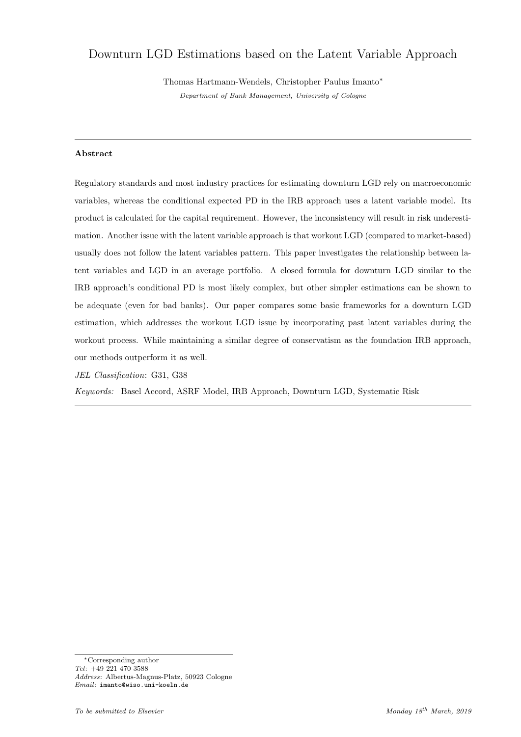# <span id="page-0-0"></span>Downturn LGD Estimations based on the Latent Variable Approach

Thomas Hartmann-Wendels, Christopher Paulus Imanto<sup>∗</sup> Department of Bank Management, University of Cologne

## Abstract

Regulatory standards and most industry practices for estimating downturn LGD rely on macroeconomic variables, whereas the conditional expected PD in the IRB approach uses a latent variable model. Its product is calculated for the capital requirement. However, the inconsistency will result in risk underestimation. Another issue with the latent variable approach is that workout LGD (compared to market-based) usually does not follow the latent variables pattern. This paper investigates the relationship between latent variables and LGD in an average portfolio. A closed formula for downturn LGD similar to the IRB approach's conditional PD is most likely complex, but other simpler estimations can be shown to be adequate (even for bad banks). Our paper compares some basic frameworks for a downturn LGD estimation, which addresses the workout LGD issue by incorporating past latent variables during the workout process. While maintaining a similar degree of conservatism as the foundation IRB approach, our methods outperform it as well.

JEL Classification: G31, G38

Keywords: Basel Accord, ASRF Model, IRB Approach, Downturn LGD, Systematic Risk

<sup>∗</sup>Corresponding author Tel: +49 221 470 3588 Address: Albertus-Magnus-Platz, 50923 Cologne Email: imanto@wiso.uni-koeln.de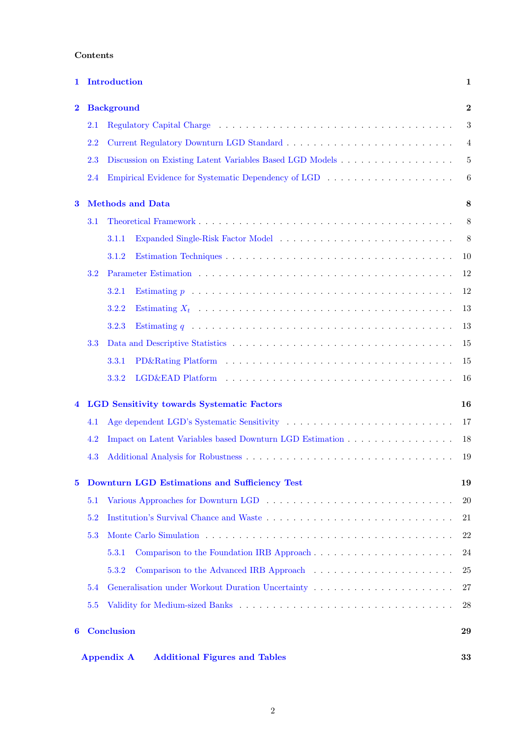# Contents

| 1        |     | Introduction                                                                                                                                                                                                                                   | 1              |
|----------|-----|------------------------------------------------------------------------------------------------------------------------------------------------------------------------------------------------------------------------------------------------|----------------|
| $\bf{2}$ |     | <b>Background</b>                                                                                                                                                                                                                              | $\bf{2}$       |
|          | 2.1 | Regulatory Capital Charge (and all contracts of all contracts of all charge of all charge of all contracts of all charge $\alpha$ and $\alpha$ and $\alpha$ and $\alpha$ are contracted of all charge of all charge of all charge of all charg | 3              |
|          | 2.2 |                                                                                                                                                                                                                                                | 4              |
|          | 2.3 | Discussion on Existing Latent Variables Based LGD Models                                                                                                                                                                                       | $\overline{5}$ |
|          | 2.4 |                                                                                                                                                                                                                                                | 6              |
| 3        |     | <b>Methods and Data</b>                                                                                                                                                                                                                        | 8              |
|          | 3.1 |                                                                                                                                                                                                                                                | 8              |
|          |     | 3.1.1                                                                                                                                                                                                                                          | 8              |
|          |     | 3.1.2                                                                                                                                                                                                                                          | 10             |
|          | 3.2 |                                                                                                                                                                                                                                                | 12             |
|          |     | Estimating $p \ldots \ldots \ldots \ldots \ldots \ldots \ldots \ldots \ldots \ldots \ldots \ldots$<br>3.2.1                                                                                                                                    | 12             |
|          |     | 3.2.2                                                                                                                                                                                                                                          | 13             |
|          |     | 3.2.3                                                                                                                                                                                                                                          | 13             |
|          | 3.3 |                                                                                                                                                                                                                                                | 15             |
|          |     | 3.3.1                                                                                                                                                                                                                                          | 15             |
|          |     | 3.3.2                                                                                                                                                                                                                                          | 16             |
|          |     | <b>LGD Sensitivity towards Systematic Factors</b>                                                                                                                                                                                              | 16             |
|          | 4.1 |                                                                                                                                                                                                                                                | 17             |
|          | 4.2 | Impact on Latent Variables based Downturn LGD Estimation                                                                                                                                                                                       | 18             |
|          | 4.3 |                                                                                                                                                                                                                                                | 19             |
| 5        |     | Downturn LGD Estimations and Sufficiency Test                                                                                                                                                                                                  | 19             |
|          | 5.1 | Various Approaches for Downturn LGD                                                                                                                                                                                                            | 20             |
|          | 5.2 |                                                                                                                                                                                                                                                | 21             |
|          | 5.3 |                                                                                                                                                                                                                                                | 22             |
|          |     | 5.3.1                                                                                                                                                                                                                                          | 24             |
|          |     | 5.3.2                                                                                                                                                                                                                                          | $25\,$         |
|          | 5.4 | Generalisation under Workout Duration Uncertainty                                                                                                                                                                                              | 27             |
|          | 5.5 |                                                                                                                                                                                                                                                | 28             |
| 6        |     | <b>Conclusion</b>                                                                                                                                                                                                                              | 29             |
|          |     | <b>Additional Figures and Tables</b><br><b>Appendix A</b>                                                                                                                                                                                      | 33             |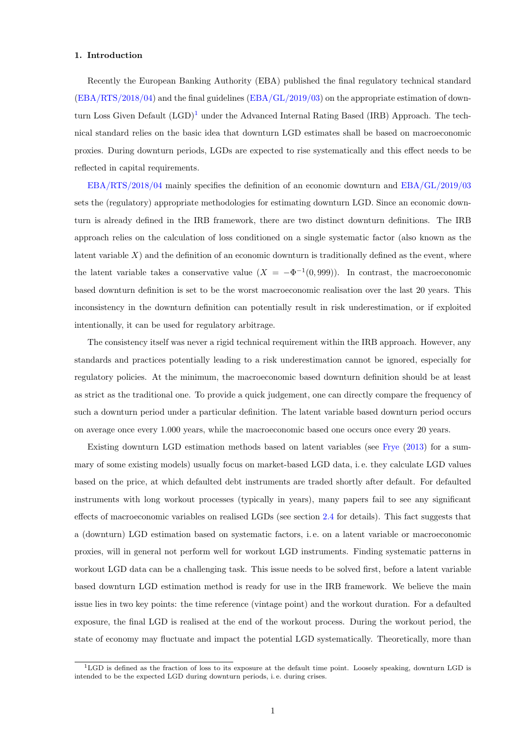#### <span id="page-2-0"></span>1. Introduction

Recently the European Banking Authority (EBA) published the final regulatory technical standard [\(EBA/RTS/2018/04\)](#page-32-0) and the final guidelines [\(EBA/GL/2019/03\)](#page-32-1) on the appropriate estimation of downturn Loss Given Default  $(LGD)^1$  $(LGD)^1$  under the Advanced Internal Rating Based (IRB) Approach. The technical standard relies on the basic idea that downturn LGD estimates shall be based on macroeconomic proxies. During downturn periods, LGDs are expected to rise systematically and this effect needs to be reflected in capital requirements.

[EBA/RTS/2018/04](#page-32-0) mainly specifies the definition of an economic downturn and [EBA/GL/2019/03](#page-32-1) sets the (regulatory) appropriate methodologies for estimating downturn LGD. Since an economic downturn is already defined in the IRB framework, there are two distinct downturn definitions. The IRB approach relies on the calculation of loss conditioned on a single systematic factor (also known as the latent variable  $X$ ) and the definition of an economic downturn is traditionally defined as the event, where the latent variable takes a conservative value  $(X = -\Phi^{-1}(0, 999))$ . In contrast, the macroeconomic based downturn definition is set to be the worst macroeconomic realisation over the last 20 years. This inconsistency in the downturn definition can potentially result in risk underestimation, or if exploited intentionally, it can be used for regulatory arbitrage.

The consistency itself was never a rigid technical requirement within the IRB approach. However, any standards and practices potentially leading to a risk underestimation cannot be ignored, especially for regulatory policies. At the minimum, the macroeconomic based downturn definition should be at least as strict as the traditional one. To provide a quick judgement, one can directly compare the frequency of such a downturn period under a particular definition. The latent variable based downturn period occurs on average once every 1.000 years, while the macroeconomic based one occurs once every 20 years.

Existing downturn LGD estimation methods based on latent variables (see [Frye](#page-32-2) [\(2013\)](#page-32-2) for a summary of some existing models) usually focus on market-based LGD data, i. e. they calculate LGD values based on the price, at which defaulted debt instruments are traded shortly after default. For defaulted instruments with long workout processes (typically in years), many papers fail to see any significant effects of macroeconomic variables on realised LGDs (see section [2.4](#page-7-0) for details). This fact suggests that a (downturn) LGD estimation based on systematic factors, i. e. on a latent variable or macroeconomic proxies, will in general not perform well for workout LGD instruments. Finding systematic patterns in workout LGD data can be a challenging task. This issue needs to be solved first, before a latent variable based downturn LGD estimation method is ready for use in the IRB framework. We believe the main issue lies in two key points: the time reference (vintage point) and the workout duration. For a defaulted exposure, the final LGD is realised at the end of the workout process. During the workout period, the state of economy may fluctuate and impact the potential LGD systematically. Theoretically, more than

<sup>1</sup>LGD is defined as the fraction of loss to its exposure at the default time point. Loosely speaking, downturn LGD is intended to be the expected LGD during downturn periods, i. e. during crises.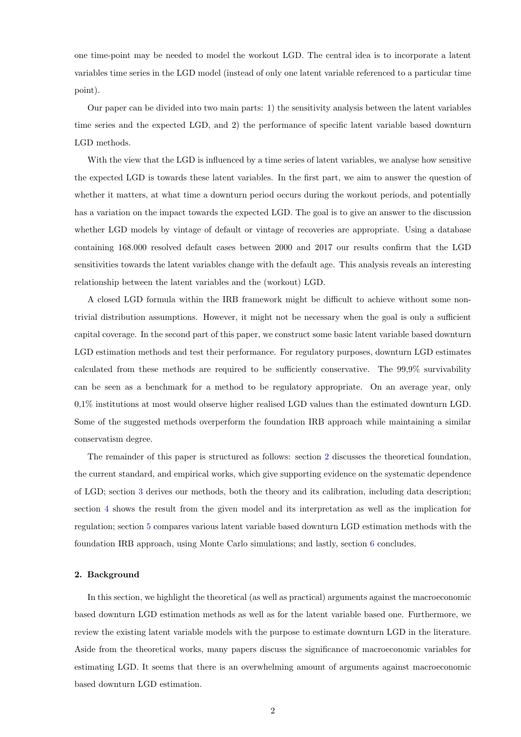one time-point may be needed to model the workout LGD. The central idea is to incorporate a latent variables time series in the LGD model (instead of only one latent variable referenced to a particular time point).

Our paper can be divided into two main parts: 1) the sensitivity analysis between the latent variables time series and the expected LGD, and 2) the performance of specific latent variable based downturn LGD methods.

With the view that the LGD is influenced by a time series of latent variables, we analyse how sensitive the expected LGD is towards these latent variables. In the first part, we aim to answer the question of whether it matters, at what time a downturn period occurs during the workout periods, and potentially has a variation on the impact towards the expected LGD. The goal is to give an answer to the discussion whether LGD models by vintage of default or vintage of recoveries are appropriate. Using a database containing 168.000 resolved default cases between 2000 and 2017 our results confirm that the LGD sensitivities towards the latent variables change with the default age. This analysis reveals an interesting relationship between the latent variables and the (workout) LGD.

A closed LGD formula within the IRB framework might be difficult to achieve without some nontrivial distribution assumptions. However, it might not be necessary when the goal is only a sufficient capital coverage. In the second part of this paper, we construct some basic latent variable based downturn LGD estimation methods and test their performance. For regulatory purposes, downturn LGD estimates calculated from these methods are required to be sufficiently conservative. The 99,9% survivability can be seen as a benchmark for a method to be regulatory appropriate. On an average year, only 0,1% institutions at most would observe higher realised LGD values than the estimated downturn LGD. Some of the suggested methods overperform the foundation IRB approach while maintaining a similar conservatism degree.

The remainder of this paper is structured as follows: section [2](#page-3-0) discusses the theoretical foundation, the current standard, and empirical works, which give supporting evidence on the systematic dependence of LGD; section [3](#page-9-0) derives our methods, both the theory and its calibration, including data description; section [4](#page-17-1) shows the result from the given model and its interpretation as well as the implication for regulation; section [5](#page-20-1) compares various latent variable based downturn LGD estimation methods with the foundation IRB approach, using Monte Carlo simulations; and lastly, section [6](#page-30-0) concludes.

#### <span id="page-3-0"></span>2. Background

In this section, we highlight the theoretical (as well as practical) arguments against the macroeconomic based downturn LGD estimation methods as well as for the latent variable based one. Furthermore, we review the existing latent variable models with the purpose to estimate downturn LGD in the literature. Aside from the theoretical works, many papers discuss the significance of macroeconomic variables for estimating LGD. It seems that there is an overwhelming amount of arguments against macroeconomic based downturn LGD estimation.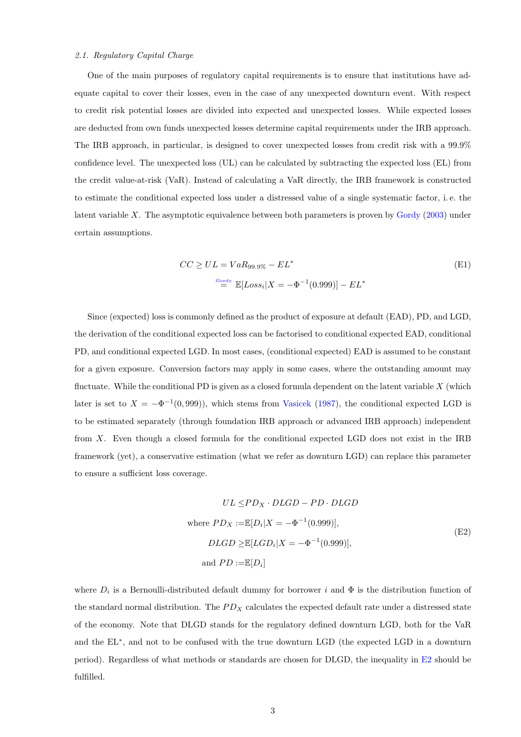#### <span id="page-4-0"></span>2.1. Regulatory Capital Charge

One of the main purposes of regulatory capital requirements is to ensure that institutions have adequate capital to cover their losses, even in the case of any unexpected downturn event. With respect to credit risk potential losses are divided into expected and unexpected losses. While expected losses are deducted from own funds unexpected losses determine capital requirements under the IRB approach. The IRB approach, in particular, is designed to cover unexpected losses from credit risk with a 99.9% confidence level. The unexpected loss (UL) can be calculated by subtracting the expected loss (EL) from the credit value-at-risk (VaR). Instead of calculating a VaR directly, the IRB framework is constructed to estimate the conditional expected loss under a distressed value of a single systematic factor, i. e. the latent variable  $X$ . The asymptotic equivalence between both parameters is proven by [Gordy](#page-32-3) [\(2003\)](#page-32-3) under certain assumptions.

$$
CC \ge UL = VaR_{99.9\%} - EL^*
$$
\n
$$
\stackrel{\text{Gordy}}{=} \mathbb{E}[Loss_i | X = -\Phi^{-1}(0.999)] - EL^*
$$
\n
$$
(E1)
$$

Since (expected) loss is commonly defined as the product of exposure at default (EAD), PD, and LGD, the derivation of the conditional expected loss can be factorised to conditional expected EAD, conditional PD, and conditional expected LGD. In most cases, (conditional expected) EAD is assumed to be constant for a given exposure. Conversion factors may apply in some cases, where the outstanding amount may fluctuate. While the conditional PD is given as a closed formula dependent on the latent variable  $X$  (which later is set to  $X = -\Phi^{-1}(0, 999)$ , which stems from [Vasicek](#page-33-0) [\(1987\)](#page-33-0), the conditional expected LGD is to be estimated separately (through foundation IRB approach or advanced IRB approach) independent from X. Even though a closed formula for the conditional expected LGD does not exist in the IRB framework (yet), a conservative estimation (what we refer as downturn LGD) can replace this parameter to ensure a sufficient loss coverage.

$$
UL \le PD_X \cdot DLGD - PD \cdot DLGD
$$
  
where  $PD_X := \mathbb{E}[D_i|X = -\Phi^{-1}(0.999)],$   

$$
DLGD \ge \mathbb{E}[LGD_i|X = -\Phi^{-1}(0.999)],
$$
  
and  $PD := \mathbb{E}[D_i]$  (E2)

where  $D_i$  is a Bernoulli-distributed default dummy for borrower i and  $\Phi$  is the distribution function of the standard normal distribution. The  $PD_X$  calculates the expected default rate under a distressed state of the economy. Note that DLGD stands for the regulatory defined downturn LGD, both for the VaR and the EL<sup>∗</sup> , and not to be confused with the true downturn LGD (the expected LGD in a downturn period). Regardless of what methods or standards are chosen for DLGD, the inequality in [E2](#page-4-0) should be fulfilled.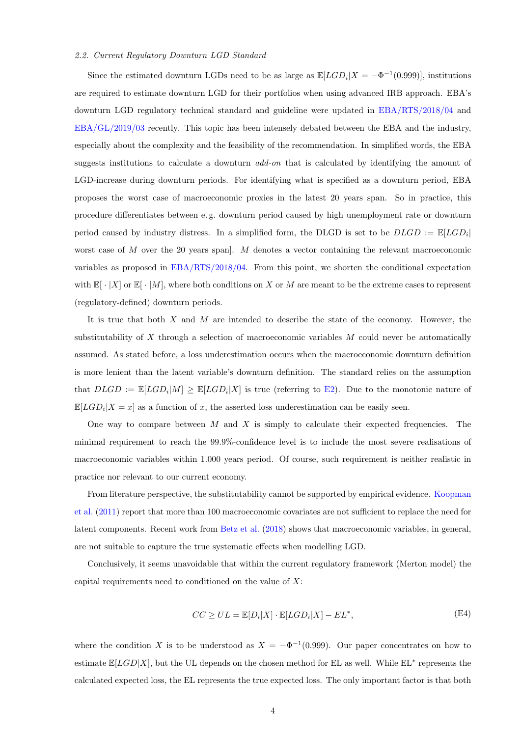#### <span id="page-5-0"></span>2.2. Current Regulatory Downturn LGD Standard

Since the estimated downturn LGDs need to be as large as  $\mathbb{E}[LGD_i|X = -\Phi^{-1}(0.999)]$ , institutions are required to estimate downturn LGD for their portfolios when using advanced IRB approach. EBA's downturn LGD regulatory technical standard and guideline were updated in [EBA/RTS/2018/04](#page-32-0) and [EBA/GL/2019/03](#page-32-1) recently. This topic has been intensely debated between the EBA and the industry, especially about the complexity and the feasibility of the recommendation. In simplified words, the EBA suggests institutions to calculate a downturn *add-on* that is calculated by identifying the amount of LGD-increase during downturn periods. For identifying what is specified as a downturn period, EBA proposes the worst case of macroeconomic proxies in the latest 20 years span. So in practice, this procedure differentiates between e. g. downturn period caused by high unemployment rate or downturn period caused by industry distress. In a simplified form, the DLGD is set to be  $DLGD := \mathbb{E}[LGD_i]$ worst case of  $M$  over the 20 years span].  $M$  denotes a vector containing the relevant macroeconomic variables as proposed in [EBA/RTS/2018/04.](#page-32-0) From this point, we shorten the conditional expectation with  $\mathbb{E}[\cdot|X]$  or  $\mathbb{E}[\cdot|M]$ , where both conditions on X or M are meant to be the extreme cases to represent (regulatory-defined) downturn periods.

It is true that both  $X$  and  $M$  are intended to describe the state of the economy. However, the substitutability of  $X$  through a selection of macroeconomic variables  $M$  could never be automatically assumed. As stated before, a loss underestimation occurs when the macroeconomic downturn definition is more lenient than the latent variable's downturn definition. The standard relies on the assumption that  $DLGD := \mathbb{E}[LGD_i|M] \geq \mathbb{E}[LGD_i|X]$  is true (referring to [E2\)](#page-4-0). Due to the monotonic nature of  $\mathbb{E}[LGD_i|X=x]$  as a function of x, the asserted loss underestimation can be easily seen.

One way to compare between  $M$  and  $X$  is simply to calculate their expected frequencies. The minimal requirement to reach the 99.9%-confidence level is to include the most severe realisations of macroeconomic variables within 1.000 years period. Of course, such requirement is neither realistic in practice nor relevant to our current economy.

From literature perspective, the substitutability cannot be supported by empirical evidence. [Koopman](#page-33-1) [et al.](#page-33-1) [\(2011\)](#page-33-1) report that more than 100 macroeconomic covariates are not sufficient to replace the need for latent components. Recent work from [Betz et al.](#page-32-4) [\(2018\)](#page-32-4) shows that macroeconomic variables, in general, are not suitable to capture the true systematic effects when modelling LGD.

Conclusively, it seems unavoidable that within the current regulatory framework (Merton model) the capital requirements need to conditioned on the value of X:

$$
CC \ge UL = \mathbb{E}[D_i|X] \cdot \mathbb{E}[LGD_i|X] - EL^*,
$$
\n(E4)

where the condition X is to be understood as  $X = -\Phi^{-1}(0.999)$ . Our paper concentrates on how to estimate  $\mathbb{E}[LGD|X]$ , but the UL depends on the chosen method for EL as well. While  $EL^*$  represents the calculated expected loss, the EL represents the true expected loss. The only important factor is that both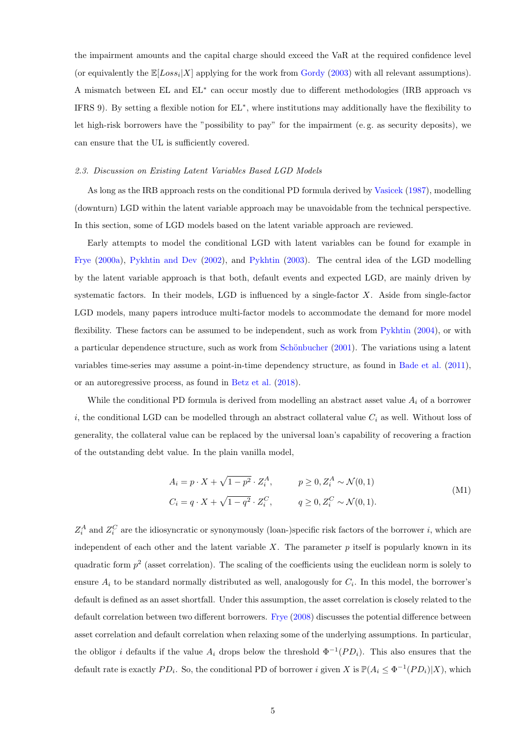the impairment amounts and the capital charge should exceed the VaR at the required confidence level (or equivalently the  $\mathbb{E}[Loss_i | X]$  applying for the work from [Gordy](#page-32-3) [\(2003\)](#page-32-3) with all relevant assumptions). A mismatch between EL and EL<sup>∗</sup> can occur mostly due to different methodologies (IRB approach vs IFRS 9). By setting a flexible notion for EL<sup>∗</sup> , where institutions may additionally have the flexibility to let high-risk borrowers have the "possibility to pay" for the impairment (e. g. as security deposits), we can ensure that the UL is sufficiently covered.

#### <span id="page-6-0"></span>2.3. Discussion on Existing Latent Variables Based LGD Models

As long as the IRB approach rests on the conditional PD formula derived by [Vasicek](#page-33-0) [\(1987\)](#page-33-0), modelling (downturn) LGD within the latent variable approach may be unavoidable from the technical perspective. In this section, some of LGD models based on the latent variable approach are reviewed.

Early attempts to model the conditional LGD with latent variables can be found for example in [Frye](#page-32-5) [\(2000a\)](#page-32-5), [Pykhtin and Dev](#page-33-2) [\(2002\)](#page-33-2), and [Pykhtin](#page-33-3) [\(2003\)](#page-33-3). The central idea of the LGD modelling by the latent variable approach is that both, default events and expected LGD, are mainly driven by systematic factors. In their models, LGD is influenced by a single-factor  $X$ . Aside from single-factor LGD models, many papers introduce multi-factor models to accommodate the demand for more model flexibility. These factors can be assumed to be independent, such as work from [Pykhtin](#page-33-4) [\(2004\)](#page-33-4), or with a particular dependence structure, such as work from Schönbucher [\(2001\)](#page-33-5). The variations using a latent variables time-series may assume a point-in-time dependency structure, as found in [Bade et al.](#page-32-6) [\(2011\)](#page-32-6), or an autoregressive process, as found in [Betz et al.](#page-32-4) [\(2018\)](#page-32-4).

While the conditional PD formula is derived from modelling an abstract asset value  $A_i$  of a borrower i, the conditional LGD can be modelled through an abstract collateral value  $C_i$  as well. Without loss of generality, the collateral value can be replaced by the universal loan's capability of recovering a fraction of the outstanding debt value. In the plain vanilla model,

$$
A_i = p \cdot X + \sqrt{1 - p^2} \cdot Z_i^A, \qquad p \ge 0, Z_i^A \sim \mathcal{N}(0, 1)
$$
  
\n
$$
C_i = q \cdot X + \sqrt{1 - q^2} \cdot Z_i^C, \qquad q \ge 0, Z_i^C \sim \mathcal{N}(0, 1).
$$
\n(M1)

 $Z_i^A$  and  $Z_i^C$  are the idiosyncratic or synonymously (loan-)specific risk factors of the borrower i, which are independent of each other and the latent variable X. The parameter  $p$  itself is popularly known in its quadratic form  $p<sup>2</sup>$  (asset correlation). The scaling of the coefficients using the euclidean norm is solely to ensure  $A_i$  to be standard normally distributed as well, analogously for  $C_i$ . In this model, the borrower's default is defined as an asset shortfall. Under this assumption, the asset correlation is closely related to the default correlation between two different borrowers. [Frye](#page-32-7) [\(2008\)](#page-32-7) discusses the potential difference between asset correlation and default correlation when relaxing some of the underlying assumptions. In particular, the obligor i defaults if the value  $A_i$  drops below the threshold  $\Phi^{-1}(PD_i)$ . This also ensures that the default rate is exactly  $PD_i$ . So, the conditional PD of borrower i given X is  $\mathbb{P}(A_i \leq \Phi^{-1}(PD_i)|X)$ , which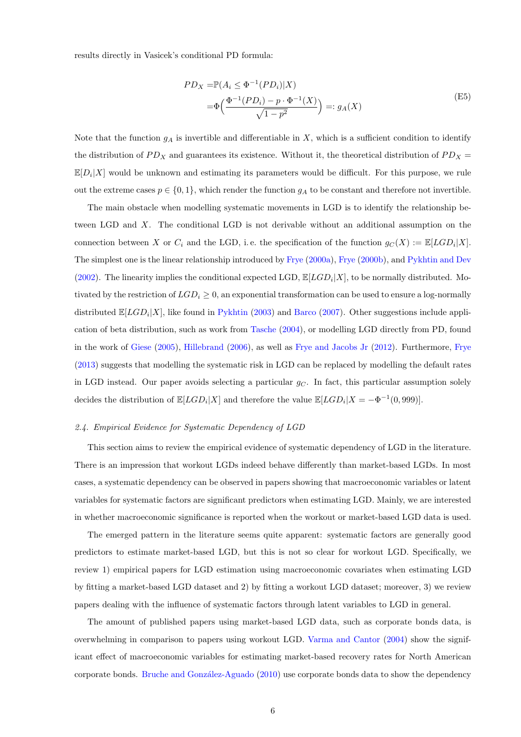results directly in Vasicek's conditional PD formula:

$$
PD_X = \mathbb{P}(A_i \le \Phi^{-1}(PD_i)|X) = \Phi\left(\frac{\Phi^{-1}(PD_i) - p \cdot \Phi^{-1}(X)}{\sqrt{1 - p^2}}\right) =: g_A(X)
$$
(E5)

Note that the function  $g_A$  is invertible and differentiable in X, which is a sufficient condition to identify the distribution of  $PD_X$  and guarantees its existence. Without it, the theoretical distribution of  $PD_X$  $\mathbb{E}[D_i|X]$  would be unknown and estimating its parameters would be difficult. For this purpose, we rule out the extreme cases  $p \in \{0,1\}$ , which render the function  $g_A$  to be constant and therefore not invertible.

The main obstacle when modelling systematic movements in LGD is to identify the relationship between LGD and X. The conditional LGD is not derivable without an additional assumption on the connection between X or  $C_i$  and the LGD, i.e. the specification of the function  $g_C(X) := \mathbb{E}[LGD_i|X]$ . The simplest one is the linear relationship introduced by [Frye](#page-32-5) [\(2000a\)](#page-32-5), [Frye](#page-32-8) [\(2000b\)](#page-32-8), and [Pykhtin and Dev](#page-33-2) [\(2002\)](#page-33-2). The linearity implies the conditional expected LGD,  $\mathbb{E}[LGD_i|X]$ , to be normally distributed. Motivated by the restriction of  $LGD_i \geq 0$ , an exponential transformation can be used to ensure a log-normally distributed  $\mathbb{E}[LGD_i|X]$ , like found in [Pykhtin](#page-33-3) [\(2003\)](#page-33-3) and [Barco](#page-32-9) [\(2007\)](#page-32-9). Other suggestions include application of beta distribution, such as work from [Tasche](#page-33-6) [\(2004\)](#page-33-6), or modelling LGD directly from PD, found in the work of [Giese](#page-32-10) [\(2005\)](#page-32-10), [Hillebrand](#page-33-7) [\(2006\)](#page-33-7), as well as [Frye and Jacobs Jr](#page-32-11) [\(2012\)](#page-32-11). Furthermore, [Frye](#page-32-2) [\(2013\)](#page-32-2) suggests that modelling the systematic risk in LGD can be replaced by modelling the default rates in LGD instead. Our paper avoids selecting a particular  $g<sub>C</sub>$ . In fact, this particular assumption solely decides the distribution of  $\mathbb{E}[LGD_i|X]$  and therefore the value  $\mathbb{E}[LGD_i|X = -\Phi^{-1}(0, 999)]$ .

## <span id="page-7-0"></span>2.4. Empirical Evidence for Systematic Dependency of LGD

This section aims to review the empirical evidence of systematic dependency of LGD in the literature. There is an impression that workout LGDs indeed behave differently than market-based LGDs. In most cases, a systematic dependency can be observed in papers showing that macroeconomic variables or latent variables for systematic factors are significant predictors when estimating LGD. Mainly, we are interested in whether macroeconomic significance is reported when the workout or market-based LGD data is used.

The emerged pattern in the literature seems quite apparent: systematic factors are generally good predictors to estimate market-based LGD, but this is not so clear for workout LGD. Specifically, we review 1) empirical papers for LGD estimation using macroeconomic covariates when estimating LGD by fitting a market-based LGD dataset and 2) by fitting a workout LGD dataset; moreover, 3) we review papers dealing with the influence of systematic factors through latent variables to LGD in general.

The amount of published papers using market-based LGD data, such as corporate bonds data, is overwhelming in comparison to papers using workout LGD. [Varma and Cantor](#page-33-8) [\(2004\)](#page-33-8) show the significant effect of macroeconomic variables for estimating market-based recovery rates for North American corporate bonds. Bruche and González-Aguado [\(2010\)](#page-32-12) use corporate bonds data to show the dependency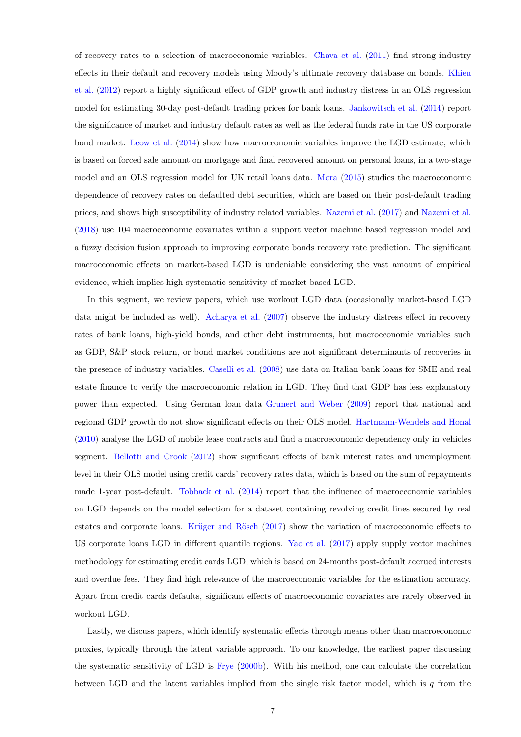of recovery rates to a selection of macroeconomic variables. [Chava et al.](#page-32-13) [\(2011\)](#page-32-13) find strong industry effects in their default and recovery models using Moody's ultimate recovery database on bonds. [Khieu](#page-33-9) [et al.](#page-33-9) [\(2012\)](#page-33-9) report a highly significant effect of GDP growth and industry distress in an OLS regression model for estimating 30-day post-default trading prices for bank loans. [Jankowitsch et al.](#page-33-10) [\(2014\)](#page-33-10) report the significance of market and industry default rates as well as the federal funds rate in the US corporate bond market. [Leow et al.](#page-33-11) [\(2014\)](#page-33-11) show how macroeconomic variables improve the LGD estimate, which is based on forced sale amount on mortgage and final recovered amount on personal loans, in a two-stage model and an OLS regression model for UK retail loans data. [Mora](#page-33-12) [\(2015\)](#page-33-12) studies the macroeconomic dependence of recovery rates on defaulted debt securities, which are based on their post-default trading prices, and shows high susceptibility of industry related variables. [Nazemi et al.](#page-33-13) [\(2017\)](#page-33-13) and [Nazemi et al.](#page-33-14) [\(2018\)](#page-33-14) use 104 macroeconomic covariates within a support vector machine based regression model and a fuzzy decision fusion approach to improving corporate bonds recovery rate prediction. The significant macroeconomic effects on market-based LGD is undeniable considering the vast amount of empirical evidence, which implies high systematic sensitivity of market-based LGD.

In this segment, we review papers, which use workout LGD data (occasionally market-based LGD data might be included as well). [Acharya et al.](#page-32-14) [\(2007\)](#page-32-14) observe the industry distress effect in recovery rates of bank loans, high-yield bonds, and other debt instruments, but macroeconomic variables such as GDP, S&P stock return, or bond market conditions are not significant determinants of recoveries in the presence of industry variables. [Caselli et al.](#page-32-15) [\(2008\)](#page-32-15) use data on Italian bank loans for SME and real estate finance to verify the macroeconomic relation in LGD. They find that GDP has less explanatory power than expected. Using German loan data [Grunert and Weber](#page-32-16) [\(2009\)](#page-32-16) report that national and regional GDP growth do not show significant effects on their OLS model. [Hartmann-Wendels and Honal](#page-33-15) [\(2010\)](#page-33-15) analyse the LGD of mobile lease contracts and find a macroeconomic dependency only in vehicles segment. [Bellotti and Crook](#page-32-17) [\(2012\)](#page-32-17) show significant effects of bank interest rates and unemployment level in their OLS model using credit cards' recovery rates data, which is based on the sum of repayments made 1-year post-default. [Tobback et al.](#page-33-16) [\(2014\)](#page-33-16) report that the influence of macroeconomic variables on LGD depends on the model selection for a dataset containing revolving credit lines secured by real estates and corporate loans. Krüger and Rösch [\(2017\)](#page-33-17) show the variation of macroeconomic effects to US corporate loans LGD in different quantile regions. [Yao et al.](#page-33-18) [\(2017\)](#page-33-18) apply supply vector machines methodology for estimating credit cards LGD, which is based on 24-months post-default accrued interests and overdue fees. They find high relevance of the macroeconomic variables for the estimation accuracy. Apart from credit cards defaults, significant effects of macroeconomic covariates are rarely observed in workout LGD.

Lastly, we discuss papers, which identify systematic effects through means other than macroeconomic proxies, typically through the latent variable approach. To our knowledge, the earliest paper discussing the systematic sensitivity of LGD is [Frye](#page-32-8) [\(2000b\)](#page-32-8). With his method, one can calculate the correlation between LGD and the latent variables implied from the single risk factor model, which is  $q$  from the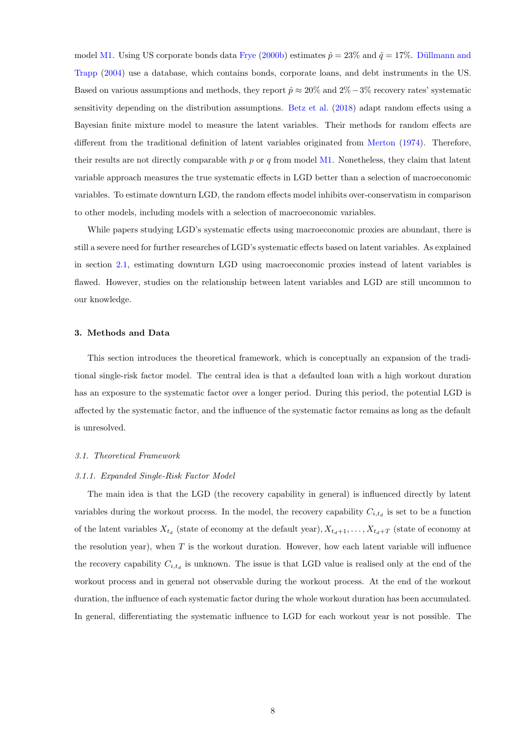model [M1.](#page-6-0) Using US corporate bonds data [Frye](#page-32-8) [\(2000b\)](#page-32-8) estimates  $\hat{p} = 23\%$  and  $\hat{q} = 17\%$ . Düllmann and [Trapp](#page-32-18) [\(2004\)](#page-32-18) use a database, which contains bonds, corporate loans, and debt instruments in the US. Based on various assumptions and methods, they report  $\hat{p} \approx 20\%$  and  $2\% - 3\%$  recovery rates' systematic sensitivity depending on the distribution assumptions. [Betz et al.](#page-32-4) [\(2018\)](#page-32-4) adapt random effects using a Bayesian finite mixture model to measure the latent variables. Their methods for random effects are different from the traditional definition of latent variables originated from [Merton](#page-33-19) [\(1974\)](#page-33-19). Therefore, their results are not directly comparable with  $p$  or  $q$  from model [M1.](#page-6-0) Nonetheless, they claim that latent variable approach measures the true systematic effects in LGD better than a selection of macroeconomic variables. To estimate downturn LGD, the random effects model inhibits over-conservatism in comparison to other models, including models with a selection of macroeconomic variables.

While papers studying LGD's systematic effects using macroeconomic proxies are abundant, there is still a severe need for further researches of LGD's systematic effects based on latent variables. As explained in section [2.1,](#page-4-0) estimating downturn LGD using macroeconomic proxies instead of latent variables is flawed. However, studies on the relationship between latent variables and LGD are still uncommon to our knowledge.

#### <span id="page-9-0"></span>3. Methods and Data

This section introduces the theoretical framework, which is conceptually an expansion of the traditional single-risk factor model. The central idea is that a defaulted loan with a high workout duration has an exposure to the systematic factor over a longer period. During this period, the potential LGD is affected by the systematic factor, and the influence of the systematic factor remains as long as the default is unresolved.

#### <span id="page-9-2"></span><span id="page-9-1"></span>3.1. Theoretical Framework

#### 3.1.1. Expanded Single-Risk Factor Model

The main idea is that the LGD (the recovery capability in general) is influenced directly by latent variables during the workout process. In the model, the recovery capability  $C_{i,t_d}$  is set to be a function of the latent variables  $X_{t_d}$  (state of economy at the default year),  $X_{t_d+1}, \ldots, X_{t_d+T}$  (state of economy at the resolution year), when  $T$  is the workout duration. However, how each latent variable will influence the recovery capability  $C_{i,t_d}$  is unknown. The issue is that LGD value is realised only at the end of the workout process and in general not observable during the workout process. At the end of the workout duration, the influence of each systematic factor during the whole workout duration has been accumulated. In general, differentiating the systematic influence to LGD for each workout year is not possible. The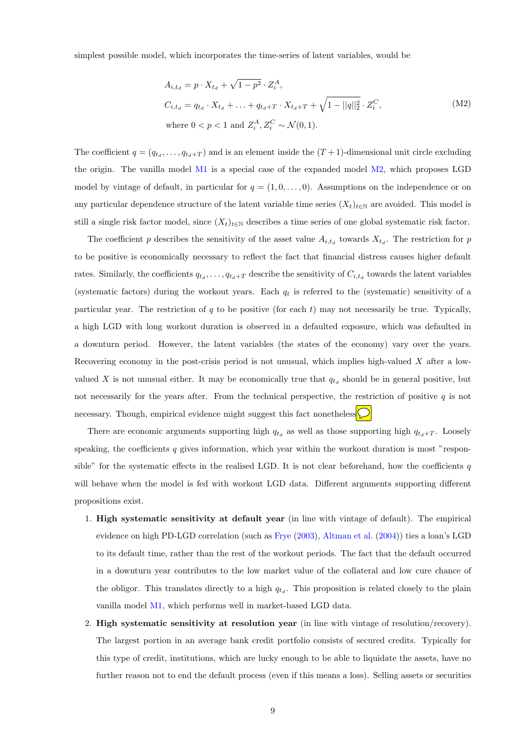simplest possible model, which incorporates the time-series of latent variables, would be

$$
A_{i,t_d} = p \cdot X_{t_d} + \sqrt{1 - p^2} \cdot Z_i^A,
$$
  
\n
$$
C_{i,t_d} = q_{t_d} \cdot X_{t_d} + \dots + q_{t_d+T} \cdot X_{t_d+T} + \sqrt{1 - ||q||_2^2} \cdot Z_i^C,
$$
  
\nwhere  $0 < p < 1$  and  $Z_i^A, Z_i^C \sim \mathcal{N}(0, 1).$  (M2)

The coefficient  $q = (q_{t_d}, \ldots, q_{t_d+T})$  and is an element inside the  $(T+1)$ -dimensional unit circle excluding the origin. The vanilla model  $M1$  is a special case of the expanded model  $M2$ , which proposes LGD model by vintage of default, in particular for  $q = (1, 0, \ldots, 0)$ . Assumptions on the independence or on any particular dependence structure of the latent variable time series  $(X_t)_{t\in\mathbb{N}}$  are avoided. This model is still a single risk factor model, since  $(X_t)_{t\in\mathbb{N}}$  describes a time series of one global systematic risk factor.

The coefficient p describes the sensitivity of the asset value  $A_{i,t_d}$  towards  $X_{t_d}$ . The restriction for p to be positive is economically necessary to reflect the fact that financial distress causes higher default rates. Similarly, the coefficients  $q_{t_d}, \ldots, q_{t_d+T}$  describe the sensitivity of  $C_{i,t_d}$  towards the latent variables (systematic factors) during the workout years. Each  $q_t$  is referred to the (systematic) sensitivity of a particular year. The restriction of q to be positive (for each t) may not necessarily be true. Typically, a high LGD with long workout duration is observed in a defaulted exposure, which was defaulted in a downturn period. However, the latent variables (the states of the economy) vary over the years. Recovering economy in the post-crisis period is not unusual, which implies high-valued  $X$  after a lowvalued X is not unusual either. It may be economically true that  $q_{t_d}$  should be in general positive, but not necessarily for the years after. From the technical perspective, the restriction of positive  $q$  is not necessary. Though, empirical evidence might suggest this fact nonetheless.

There are economic arguments supporting high  $q_{t_d}$  as well as those supporting high  $q_{t_d+T}$ . Loosely speaking, the coefficients q gives information, which year within the workout duration is most "responsible" for the systematic effects in the realised LGD. It is not clear beforehand, how the coefficients  $q$ will behave when the model is fed with workout LGD data. Different arguments supporting different propositions exist.

- 1. High systematic sensitivity at default year (in line with vintage of default). The empirical evidence on high PD-LGD correlation (such as [Frye](#page-32-19) [\(2003\)](#page-32-19), [Altman et al.](#page-32-20) [\(2004\)](#page-32-20)) ties a loan's LGD to its default time, rather than the rest of the workout periods. The fact that the default occurred in a downturn year contributes to the low market value of the collateral and low cure chance of the obligor. This translates directly to a high  $q_{t_d}$ . This proposition is related closely to the plain vanilla model [M1,](#page-6-0) which performs well in market-based LGD data.
- 2. High systematic sensitivity at resolution year (in line with vintage of resolution/recovery). The largest portion in an average bank credit portfolio consists of secured credits. Typically for this type of credit, institutions, which are lucky enough to be able to liquidate the assets, have no further reason not to end the default process (even if this means a loss). Selling assets or securities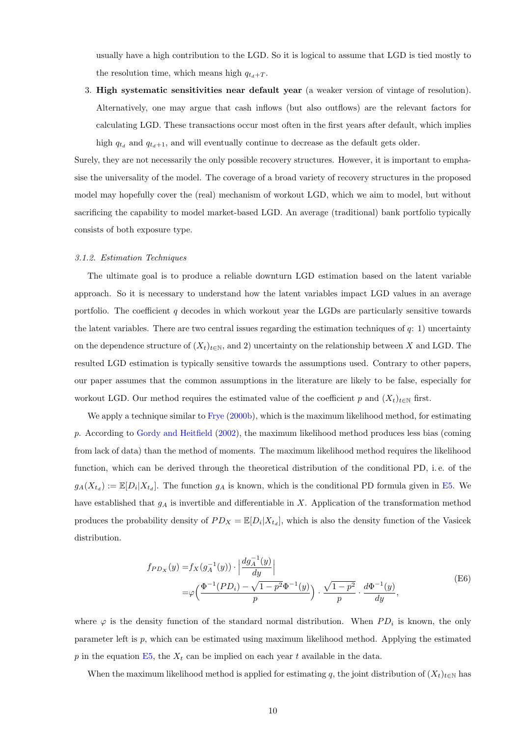usually have a high contribution to the LGD. So it is logical to assume that LGD is tied mostly to the resolution time, which means high  $q_{t_d+T}$ .

3. High systematic sensitivities near default year (a weaker version of vintage of resolution). Alternatively, one may argue that cash inflows (but also outflows) are the relevant factors for calculating LGD. These transactions occur most often in the first years after default, which implies high  $q_{t_d}$  and  $q_{t_d+1}$ , and will eventually continue to decrease as the default gets older.

Surely, they are not necessarily the only possible recovery structures. However, it is important to emphasise the universality of the model. The coverage of a broad variety of recovery structures in the proposed model may hopefully cover the (real) mechanism of workout LGD, which we aim to model, but without sacrificing the capability to model market-based LGD. An average (traditional) bank portfolio typically consists of both exposure type.

#### <span id="page-11-0"></span>3.1.2. Estimation Techniques

The ultimate goal is to produce a reliable downturn LGD estimation based on the latent variable approach. So it is necessary to understand how the latent variables impact LGD values in an average portfolio. The coefficient  $q$  decodes in which workout year the LGDs are particularly sensitive towards the latent variables. There are two central issues regarding the estimation techniques of  $q: 1$ ) uncertainty on the dependence structure of  $(X_t)_{t\in\mathbb{N}}$ , and 2) uncertainty on the relationship between X and LGD. The resulted LGD estimation is typically sensitive towards the assumptions used. Contrary to other papers, our paper assumes that the common assumptions in the literature are likely to be false, especially for workout LGD. Our method requires the estimated value of the coefficient p and  $(X_t)_{t\in\mathbb{N}}$  first.

We apply a technique similar to [Frye](#page-32-8) [\(2000b\)](#page-32-8), which is the maximum likelihood method, for estimating p. According to [Gordy and Heitfield](#page-32-21) [\(2002\)](#page-32-21), the maximum likelihood method produces less bias (coming from lack of data) than the method of moments. The maximum likelihood method requires the likelihood function, which can be derived through the theoretical distribution of the conditional PD, i. e. of the  $g_A(X_{t_d}) := \mathbb{E}[D_i | X_{t_d}]$ . The function  $g_A$  is known, which is the conditional PD formula given in [E5.](#page-6-0) We have established that  $g_A$  is invertible and differentiable in X. Application of the transformation method produces the probability density of  $PD_X = \mathbb{E}[D_i | X_{t_d}]$ , which is also the density function of the Vasicek distribution.

$$
f_{PD_X}(y) = f_X(g_A^{-1}(y)) \cdot \left| \frac{dg_A^{-1}(y)}{dy} \right|
$$
  
=  $\varphi \left( \frac{\Phi^{-1}(PD_i) - \sqrt{1 - p^2} \Phi^{-1}(y)}{p} \right) \cdot \frac{\sqrt{1 - p^2}}{p} \cdot \frac{d\Phi^{-1}(y)}{dy},$  (E6)

where  $\varphi$  is the density function of the standard normal distribution. When  $PD_i$  is known, the only parameter left is p, which can be estimated using maximum likelihood method. Applying the estimated p in the equation  $E5$ , the  $X_t$  can be implied on each year t available in the data.

When the maximum likelihood method is applied for estimating q, the joint distribution of  $(X_t)_{t\in\mathbb{N}}$  has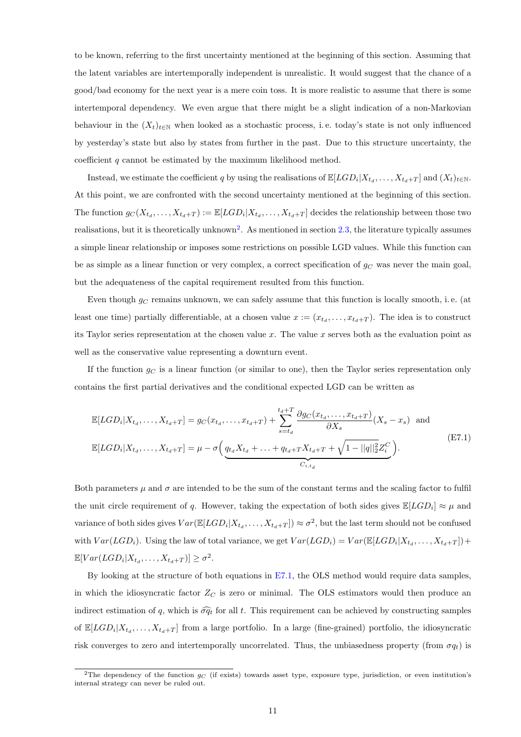to be known, referring to the first uncertainty mentioned at the beginning of this section. Assuming that the latent variables are intertemporally independent is unrealistic. It would suggest that the chance of a good/bad economy for the next year is a mere coin toss. It is more realistic to assume that there is some intertemporal dependency. We even argue that there might be a slight indication of a non-Markovian behaviour in the  $(X_t)_{t\in\mathbb{N}}$  when looked as a stochastic process, i.e. today's state is not only influenced by yesterday's state but also by states from further in the past. Due to this structure uncertainty, the coefficient  $q$  cannot be estimated by the maximum likelihood method.

Instead, we estimate the coefficient q by using the realisations of  $\mathbb{E}[LGD_i|X_{t_d}, \ldots, X_{t_d+T}]$  and  $(X_t)_{t \in \mathbb{N}}$ . At this point, we are confronted with the second uncertainty mentioned at the beginning of this section. The function  $g_C(X_{t_d},...,X_{t_d+T}) := \mathbb{E}[LGD_i | X_{t_d},...,X_{t_d+T}]$  decides the relationship between those two realisations, but it is theoretically unknown<sup>[2](#page-0-0)</sup>. As mentioned in section [2.3,](#page-6-0) the literature typically assumes a simple linear relationship or imposes some restrictions on possible LGD values. While this function can be as simple as a linear function or very complex, a correct specification of  $g_C$  was never the main goal, but the adequateness of the capital requirement resulted from this function.

Even though  $g_C$  remains unknown, we can safely assume that this function is locally smooth, i.e. (at least one time) partially differentiable, at a chosen value  $x := (x_{t_d}, \ldots, x_{t_d+T})$ . The idea is to construct its Taylor series representation at the chosen value x. The value x serves both as the evaluation point as well as the conservative value representing a downturn event.

If the function  $g_C$  is a linear function (or similar to one), then the Taylor series representation only contains the first partial derivatives and the conditional expected LGD can be written as

$$
\mathbb{E}[LGD_i|X_{t_d},\ldots,X_{t_d+T}] = g_C(x_{t_d},\ldots,x_{t_d+T}) + \sum_{s=t_d}^{t_d+T} \frac{\partial g_C(x_{t_d},\ldots,x_{t_d+T})}{\partial X_s}(X_s - x_s) \text{ and}
$$
\n
$$
\mathbb{E}[LGD_i|X_{t_d},\ldots,X_{t_d+T}] = \mu - \sigma\left(\underbrace{q_{t_d}X_{t_d} + \ldots + q_{t_d+T}X_{t_d+T} + \sqrt{1 - ||q||_2^2}Z_i^C}_{C_{i,t_d}}\right). \tag{E7.1}
$$

Both parameters  $\mu$  and  $\sigma$  are intended to be the sum of the constant terms and the scaling factor to fulfil the unit circle requirement of q. However, taking the expectation of both sides gives  $\mathbb{E}[LGD_i] \approx \mu$  and variance of both sides gives  $Var(\mathbb{E}[LGD_i|X_{t_d},...,X_{t_d+T}]) \approx \sigma^2$ , but the last term should not be confused with  $Var(LGD_i)$ . Using the law of total variance, we get  $Var(LGD_i) = Var(\mathbb{E}[LGD_i | X_{t_d}, \dots, X_{t_d+T}]) +$  $\mathbb{E}[Var(LGD_i|X_{t_d},\ldots,X_{t_d+T})] \geq \sigma^2.$ 

By looking at the structure of both equations in [E7.1,](#page-11-0) the OLS method would require data samples, in which the idiosyncratic factor  $Z_C$  is zero or minimal. The OLS estimators would then produce an indirect estimation of q, which is  $\widehat{\sigma q_t}$  for all t. This requirement can be achieved by constructing samples of  $\mathbb{E}[LGD_i|X_{t_d},\ldots,X_{t_d+T}]$  from a large portfolio. In a large (fine-grained) portfolio, the idiosyncratic risk converges to zero and intertemporally uncorrelated. Thus, the unbiasedness property (from  $\sigma q_t$ ) is

<sup>&</sup>lt;sup>2</sup>The dependency of the function  $g_C$  (if exists) towards asset type, exposure type, jurisdiction, or even institution's internal strategy can never be ruled out.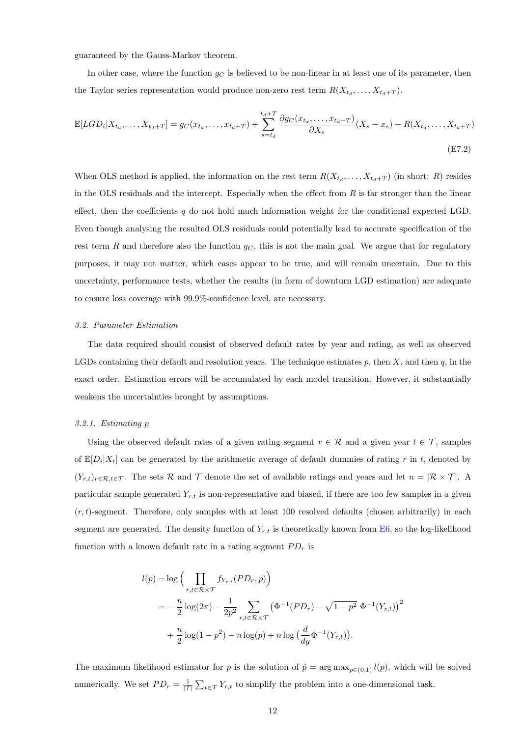guaranteed by the Gauss-Markov theorem.

In other case, where the function  $q_C$  is believed to be non-linear in at least one of its parameter, then the Taylor series representation would produce non-zero rest term  $R(X_{t_d}, \ldots, X_{t_d+T})$ .

$$
\mathbb{E}[LGD_i|X_{t_d},\dots,X_{t_d+T}] = g_C(x_{t_d},\dots,x_{t_d+T}) + \sum_{s=t_d}^{t_d+T} \frac{\partial g_C(x_{t_d},\dots,x_{t_d+T})}{\partial X_s}(X_s - x_s) + R(X_{t_d},\dots,X_{t_d+T})
$$
\n(E7.2)

When OLS method is applied, the information on the rest term  $R(X_{t_d},...,X_{t_d+T})$  (in short: R) resides in the OLS residuals and the intercept. Especially when the effect from  $R$  is far stronger than the linear effect, then the coefficients q do not hold much information weight for the conditional expected LGD. Even though analysing the resulted OLS residuals could potentially lead to accurate specification of the rest term R and therefore also the function  $g_C$ , this is not the main goal. We argue that for regulatory purposes, it may not matter, which cases appear to be true, and will remain uncertain. Due to this uncertainty, performance tests, whether the results (in form of downturn LGD estimation) are adequate to ensure loss coverage with 99.9%-confidence level, are necessary.

#### <span id="page-13-0"></span>3.2. Parameter Estimation

The data required should consist of observed default rates by year and rating, as well as observed LGDs containing their default and resolution years. The technique estimates  $p$ , then  $X$ , and then  $q$ , in the exact order. Estimation errors will be accumulated by each model transition. However, it substantially weakens the uncertainties brought by assumptions.

#### <span id="page-13-1"></span>3.2.1. Estimating p

Using the observed default rates of a given rating segment  $r \in \mathcal{R}$  and a given year  $t \in \mathcal{T}$ , samples of  $\mathbb{E}[D_i|X_t]$  can be generated by the arithmetic average of default dummies of rating r in t, denoted by  $(Y_{r,t})_{r \in \mathcal{R}, t \in \mathcal{T}}$ . The sets  $\mathcal R$  and  $\mathcal T$  denote the set of available ratings and years and let  $n = |\mathcal{R} \times \mathcal{T}|$ . A particular sample generated  $Y_{r,t}$  is non-representative and biased, if there are too few samples in a given  $(r, t)$ -segment. Therefore, only samples with at least 100 resolved defaults (chosen arbitrarily) in each segment are generated. The density function of  $Y_{r,t}$  is theoretically known from [E6,](#page-11-0) so the log-likelihood function with a known default rate in a rating segment  $PD_r$  is

$$
l(p) = \log \Big( \prod_{r,t \in \mathcal{R} \times \mathcal{T}} f_{Y_{r,t}}(PD_r, p) \Big)
$$
  
=  $-\frac{n}{2} \log(2\pi) - \frac{1}{2p^2} \sum_{r,t \in \mathcal{R} \times \mathcal{T}} \left( \Phi^{-1}(PD_r) - \sqrt{1 - p^2} \ \Phi^{-1}(Y_{r,t}) \right)^2$   
+  $\frac{n}{2} \log(1 - p^2) - n \log(p) + n \log \Big( \frac{d}{dy} \Phi^{-1}(Y_{r,t}) \Big).$ 

The maximum likelihood estimator for p is the solution of  $\hat{p} = \arg \max_{p \in (0,1)} l(p)$ , which will be solved numerically. We set  $PD_r = \frac{1}{|\mathcal{T}|} \sum_{t \in \mathcal{T}} Y_{r,t}$  to simplify the problem into a one-dimensional task.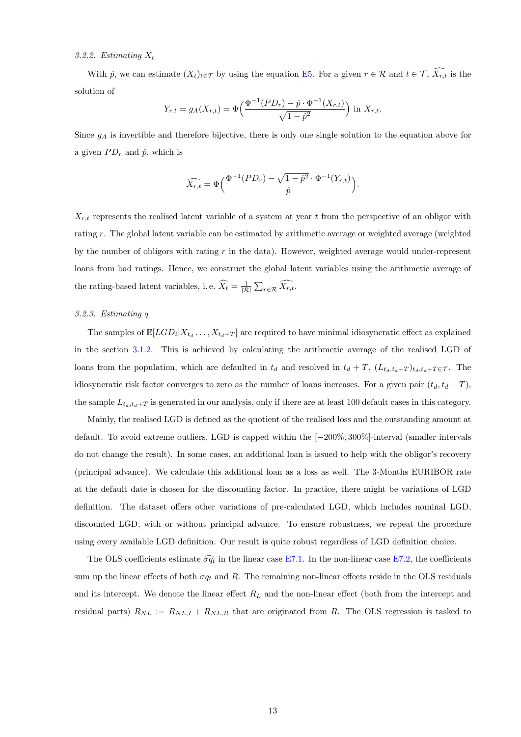#### <span id="page-14-0"></span>3.2.2. Estimating  $X_t$

With  $\hat{p}$ , we can estimate  $(X_t)_{t\in\mathcal{T}}$  by using the equation [E5.](#page-6-0) For a given  $r \in \mathcal{R}$  and  $t \in \mathcal{T}$ ,  $\widehat{X_{r,t}}$  is the solution of

$$
Y_{r,t} = g_A(X_{r,t}) = \Phi\left(\frac{\Phi^{-1}(PD_r) - \hat{p} \cdot \Phi^{-1}(X_{r,t})}{\sqrt{1 - \hat{p}^2}}\right) \text{ in } X_{r,t}.
$$

Since  $g_A$  is invertible and therefore bijective, there is only one single solution to the equation above for a given  $PD_r$  and  $\hat{p}$ , which is

$$
\widehat{X_{r,t}} = \Phi\Big(\frac{\Phi^{-1}(PD_r) - \sqrt{1-\hat{p}^2}\cdot \Phi^{-1}(Y_{r,t})}{\hat{p}}\Big).
$$

 $X_{r,t}$  represents the realised latent variable of a system at year t from the perspective of an obligor with rating r. The global latent variable can be estimated by arithmetic average or weighted average (weighted by the number of obligors with rating  $r$  in the data). However, weighted average would under-represent loans from bad ratings. Hence, we construct the global latent variables using the arithmetic average of the rating-based latent variables, i.e.  $\widehat{X_t} = \frac{1}{|\mathcal{R}|} \sum_{r \in \mathcal{R}} \widehat{X_{r,t}}$ .

#### <span id="page-14-1"></span>3.2.3. Estimating q

The samples of  $\mathbb{E}[LGD_i|X_{t_d},...,X_{t_d+T}]$  are required to have minimal idiosyncratic effect as explained in the section [3.1.2.](#page-11-0) This is achieved by calculating the arithmetic average of the realised LGD of loans from the population, which are defaulted in  $t_d$  and resolved in  $t_d + T$ ,  $(L_{t_d,t_d+T})_{t_d,t_d+T \in \mathcal{T}}$ . The idiosyncratic risk factor converges to zero as the number of loans increases. For a given pair  $(t_d, t_d + T)$ , the sample  $L_{t_d,t_d+T}$  is generated in our analysis, only if there are at least 100 default cases in this category.

Mainly, the realised LGD is defined as the quotient of the realised loss and the outstanding amount at default. To avoid extreme outliers, LGD is capped within the [−200%, 300%]-interval (smaller intervals do not change the result). In some cases, an additional loan is issued to help with the obligor's recovery (principal advance). We calculate this additional loan as a loss as well. The 3-Months EURIBOR rate at the default date is chosen for the discounting factor. In practice, there might be variations of LGD definition. The dataset offers other variations of pre-calculated LGD, which includes nominal LGD, discounted LGD, with or without principal advance. To ensure robustness, we repeat the procedure using every available LGD definition. Our result is quite robust regardless of LGD definition choice.

The OLS coefficients estimate  $\widehat{\sigma q_t}$  in the linear case [E7.1.](#page-11-0) In the non-linear case [E7.2,](#page-11-0) the coefficients sum up the linear effects of both  $\sigma q_t$  and R. The remaining non-linear effects reside in the OLS residuals and its intercept. We denote the linear effect  $R<sub>L</sub>$  and the non-linear effect (both from the intercept and residual parts)  $R_{NL} := R_{NL,I} + R_{NL,R}$  that are originated from R. The OLS regression is tasked to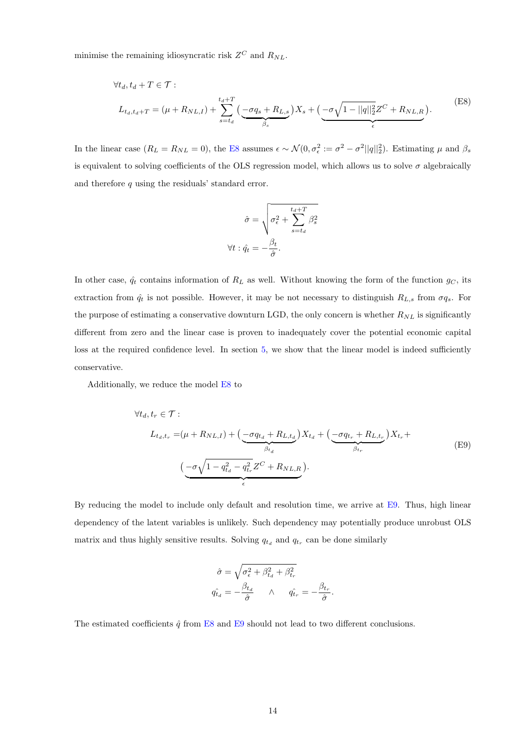minimise the remaining idiosyncratic risk  $Z^C$  and  $R_{NL}$ .

$$
\forall t_d, t_d + T \in \mathcal{T}:
$$
  
\n
$$
L_{t_d, t_d + T} = (\mu + R_{NL,I}) + \sum_{s=t_d}^{t_d + T} \left( \underbrace{-\sigma q_s + R_{L,s}}_{\beta_s} \right) X_s + \underbrace{(-\sigma \sqrt{1 - ||q||_2^2} Z^C + R_{NL,R}}_{\epsilon} ).
$$
\n(E8)

In the linear case  $(R_L = R_{NL} = 0)$ , the [E8](#page-14-1) assumes  $\epsilon \sim \mathcal{N}(0, \sigma_{\epsilon}^2 := \sigma^2 - \sigma^2 ||q||_2^2)$ . Estimating  $\mu$  and  $\beta_s$ is equivalent to solving coefficients of the OLS regression model, which allows us to solve  $\sigma$  algebraically and therefore  $q$  using the residuals' standard error.

$$
\hat{\sigma} = \sqrt{\sigma_{\epsilon}^{2} + \sum_{s=t_d}^{t_d + T} \beta_s^{2}}
$$

$$
\forall t : \hat{q}_t = -\frac{\beta_t}{\hat{\sigma}}.
$$

In other case,  $\hat{q}_t$  contains information of  $R_L$  as well. Without knowing the form of the function  $g_C$ , its extraction from  $\hat{q}_t$  is not possible. However, it may be not necessary to distinguish  $R_{L,s}$  from  $\sigma q_s$ . For the purpose of estimating a conservative downturn LGD, the only concern is whether  $R_{NL}$  is significantly different from zero and the linear case is proven to inadequately cover the potential economic capital loss at the required confidence level. In section [5,](#page-20-1) we show that the linear model is indeed sufficiently conservative.

Additionally, we reduce the model [E8](#page-14-1) to

$$
\forall t_d, t_r \in \mathcal{T}:
$$
\n
$$
L_{t_d, t_r} = (\mu + R_{NL, I}) + \left(\underbrace{-\sigma q_{t_d} + R_{L, t_d}}_{\beta_{t_d}}\right) X_{t_d} + \left(\underbrace{-\sigma q_{t_r} + R_{L, t_r}}_{\beta_{t_r}}\right) X_{t_r} + \left(\underbrace{-\sigma \sqrt{1 - q_{t_d}^2 - q_{t_r}^2} Z^C + R_{NL, R}}_{\epsilon}\right).
$$
\n(E9)

By reducing the model to include only default and resolution time, we arrive at [E9.](#page-14-1) Thus, high linear dependency of the latent variables is unlikely. Such dependency may potentially produce unrobust OLS matrix and thus highly sensitive results. Solving  $q_{t_d}$  and  $q_{t_r}$  can be done similarly

$$
\hat{\sigma} = \sqrt{\sigma_{\epsilon}^2 + \beta_{t_d}^2 + \beta_{t_r}^2}
$$
  

$$
q_{t_d}^{\hat{}} = -\frac{\beta_{t_d}}{\hat{\sigma}} \qquad \wedge \qquad q_{t_r}^{\hat{}} = -\frac{\beta_{t_r}}{\hat{\sigma}}.
$$

The estimated coefficients  $\hat{q}$  from [E8](#page-14-1) and [E9](#page-14-1) should not lead to two different conclusions.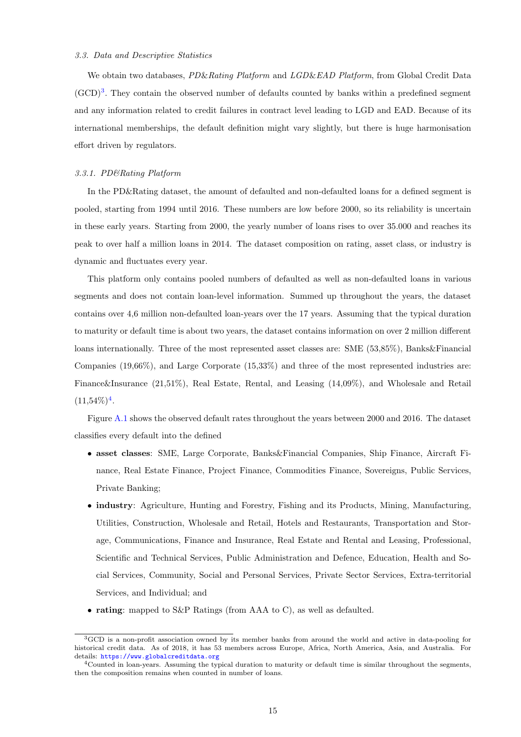#### <span id="page-16-0"></span>3.3. Data and Descriptive Statistics

We obtain two databases, PD&Rating Platform and LGD&EAD Platform, from Global Credit Data  $(GCD)<sup>3</sup>$  $(GCD)<sup>3</sup>$  $(GCD)<sup>3</sup>$ . They contain the observed number of defaults counted by banks within a predefined segment and any information related to credit failures in contract level leading to LGD and EAD. Because of its international memberships, the default definition might vary slightly, but there is huge harmonisation effort driven by regulators.

#### <span id="page-16-1"></span>3.3.1. PD&Rating Platform

In the PD&Rating dataset, the amount of defaulted and non-defaulted loans for a defined segment is pooled, starting from 1994 until 2016. These numbers are low before 2000, so its reliability is uncertain in these early years. Starting from 2000, the yearly number of loans rises to over 35.000 and reaches its peak to over half a million loans in 2014. The dataset composition on rating, asset class, or industry is dynamic and fluctuates every year.

This platform only contains pooled numbers of defaulted as well as non-defaulted loans in various segments and does not contain loan-level information. Summed up throughout the years, the dataset contains over 4,6 million non-defaulted loan-years over the 17 years. Assuming that the typical duration to maturity or default time is about two years, the dataset contains information on over 2 million different loans internationally. Three of the most represented asset classes are: SME (53,85%), Banks&Financial Companies (19,66%), and Large Corporate (15,33%) and three of the most represented industries are: Finance&Insurance (21,51%), Real Estate, Rental, and Leasing (14,09%), and Wholesale and Retail  $(11,54\%)$  $(11,54\%)$  $(11,54\%)$ <sup>4</sup>.

Figure [A.1](#page-36-0) shows the observed default rates throughout the years between 2000 and 2016. The dataset classifies every default into the defined

- asset classes: SME, Large Corporate, Banks&Financial Companies, Ship Finance, Aircraft Finance, Real Estate Finance, Project Finance, Commodities Finance, Sovereigns, Public Services, Private Banking;
- industry: Agriculture, Hunting and Forestry, Fishing and its Products, Mining, Manufacturing, Utilities, Construction, Wholesale and Retail, Hotels and Restaurants, Transportation and Storage, Communications, Finance and Insurance, Real Estate and Rental and Leasing, Professional, Scientific and Technical Services, Public Administration and Defence, Education, Health and Social Services, Community, Social and Personal Services, Private Sector Services, Extra-territorial Services, and Individual; and
- rating: mapped to S&P Ratings (from AAA to C), as well as defaulted.

<sup>3</sup>GCD is a non-profit association owned by its member banks from around the world and active in data-pooling for historical credit data. As of 2018, it has 53 members across Europe, Africa, North America, Asia, and Australia. For details: <https://www.globalcreditdata.org>

<sup>4</sup>Counted in loan-years. Assuming the typical duration to maturity or default time is similar throughout the segments, then the composition remains when counted in number of loans.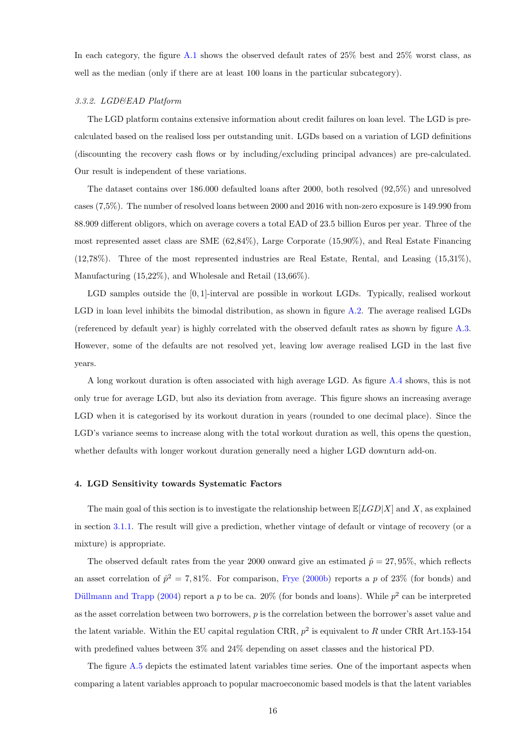In each category, the figure [A.1](#page-36-0) shows the observed default rates of 25% best and 25% worst class, as well as the median (only if there are at least 100 loans in the particular subcategory).

#### <span id="page-17-0"></span>3.3.2. LGD&EAD Platform

The LGD platform contains extensive information about credit failures on loan level. The LGD is precalculated based on the realised loss per outstanding unit. LGDs based on a variation of LGD definitions (discounting the recovery cash flows or by including/excluding principal advances) are pre-calculated. Our result is independent of these variations.

The dataset contains over 186.000 defaulted loans after 2000, both resolved (92,5%) and unresolved cases (7,5%). The number of resolved loans between 2000 and 2016 with non-zero exposure is 149.990 from 88.909 different obligors, which on average covers a total EAD of 23.5 billion Euros per year. Three of the most represented asset class are SME (62,84%), Large Corporate (15,90%), and Real Estate Financing (12,78%). Three of the most represented industries are Real Estate, Rental, and Leasing (15,31%), Manufacturing (15,22%), and Wholesale and Retail (13,66%).

LGD samples outside the [0, 1]-interval are possible in workout LGDs. Typically, realised workout LGD in loan level inhibits the bimodal distribution, as shown in figure [A.2.](#page-36-1) The average realised LGDs (referenced by default year) is highly correlated with the observed default rates as shown by figure [A.3.](#page-37-0) However, some of the defaults are not resolved yet, leaving low average realised LGD in the last five years.

A long workout duration is often associated with high average LGD. As figure [A.4](#page-37-1) shows, this is not only true for average LGD, but also its deviation from average. This figure shows an increasing average LGD when it is categorised by its workout duration in years (rounded to one decimal place). Since the LGD's variance seems to increase along with the total workout duration as well, this opens the question, whether defaults with longer workout duration generally need a higher LGD downturn add-on.

#### <span id="page-17-1"></span>4. LGD Sensitivity towards Systematic Factors

The main goal of this section is to investigate the relationship between  $\mathbb{E}[LGD|X]$  and X, as explained in section [3.1.1.](#page-9-2) The result will give a prediction, whether vintage of default or vintage of recovery (or a mixture) is appropriate.

The observed default rates from the year 2000 onward give an estimated  $\hat{p} = 27,95\%$ , which reflects an asset correlation of  $\hat{p}^2 = 7,81\%$ . For comparison, [Frye](#page-32-8) [\(2000b\)](#page-32-8) reports a p of 23\% (for bonds) and Düllmann and Trapp [\(2004\)](#page-32-18) report a p to be ca. 20% (for bonds and loans). While  $p^2$  can be interpreted as the asset correlation between two borrowers,  $p$  is the correlation between the borrower's asset value and the latent variable. Within the EU capital regulation CRR,  $p^2$  is equivalent to R under CRR Art.153-154 with predefined values between 3% and 24% depending on asset classes and the historical PD.

The figure [A.5](#page-37-2) depicts the estimated latent variables time series. One of the important aspects when comparing a latent variables approach to popular macroeconomic based models is that the latent variables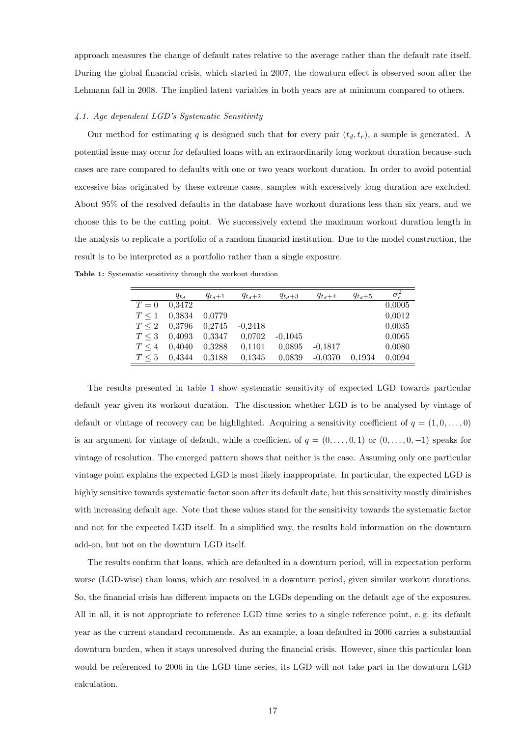approach measures the change of default rates relative to the average rather than the default rate itself. During the global financial crisis, which started in 2007, the downturn effect is observed soon after the Lehmann fall in 2008. The implied latent variables in both years are at minimum compared to others.

#### <span id="page-18-0"></span>4.1. Age dependent LGD's Systematic Sensitivity

Our method for estimating q is designed such that for every pair  $(t_d, t_r)$ , a sample is generated. A potential issue may occur for defaulted loans with an extraordinarily long workout duration because such cases are rare compared to defaults with one or two years workout duration. In order to avoid potential excessive bias originated by these extreme cases, samples with excessively long duration are excluded. About 95% of the resolved defaults in the database have workout durations less than six years, and we choose this to be the cutting point. We successively extend the maximum workout duration length in the analysis to replicate a portfolio of a random financial institution. Due to the model construction, the result is to be interpreted as a portfolio rather than a single exposure.

|            | $q_{t_d}$ | $q_{t_d+1}$ | $q_{t_d+2}$ | $q_{t_d+3}$ | $q_{t_d+4}$ | $q_{t_d+5}$ | $\sigma_{\epsilon}^2$ |
|------------|-----------|-------------|-------------|-------------|-------------|-------------|-----------------------|
| $T=0$      | 0.3472    |             |             |             |             |             | 0,0005                |
| $T \leq 1$ | 0.3834    | 0.0779      |             |             |             |             | 0,0012                |
| $T \leq 2$ | 0,3796    | 0.2745      | $-0.2418$   |             |             |             | 0,0035                |
| $T \leq 3$ | 0.4093    | 0.3347      | 0.0702      | $-0.1045$   |             |             | 0,0065                |
| $T \leq 4$ | 0.4040    | 0,3288      | 0.1101      | 0.0895      | $-0.1817$   |             | 0,0080                |
| $T \leq 5$ | 0.4344    | 0.3188      | 0.1345      | 0.0839      | $-0.0370$   | 0.1934      | 0,0094                |

<span id="page-18-1"></span>Table 1: Systematic sensitivity through the workout duration

The results presented in table [1](#page-18-1) show systematic sensitivity of expected LGD towards particular default year given its workout duration. The discussion whether LGD is to be analysed by vintage of default or vintage of recovery can be highlighted. Acquiring a sensitivity coefficient of  $q = (1, 0, \ldots, 0)$ is an argument for vintage of default, while a coefficient of  $q = (0, \ldots, 0, 1)$  or  $(0, \ldots, 0, -1)$  speaks for vintage of resolution. The emerged pattern shows that neither is the case. Assuming only one particular vintage point explains the expected LGD is most likely inappropriate. In particular, the expected LGD is highly sensitive towards systematic factor soon after its default date, but this sensitivity mostly diminishes with increasing default age. Note that these values stand for the sensitivity towards the systematic factor and not for the expected LGD itself. In a simplified way, the results hold information on the downturn add-on, but not on the downturn LGD itself.

The results confirm that loans, which are defaulted in a downturn period, will in expectation perform worse (LGD-wise) than loans, which are resolved in a downturn period, given similar workout durations. So, the financial crisis has different impacts on the LGDs depending on the default age of the exposures. All in all, it is not appropriate to reference LGD time series to a single reference point, e. g. its default year as the current standard recommends. As an example, a loan defaulted in 2006 carries a substantial downturn burden, when it stays unresolved during the financial crisis. However, since this particular loan would be referenced to 2006 in the LGD time series, its LGD will not take part in the downturn LGD calculation.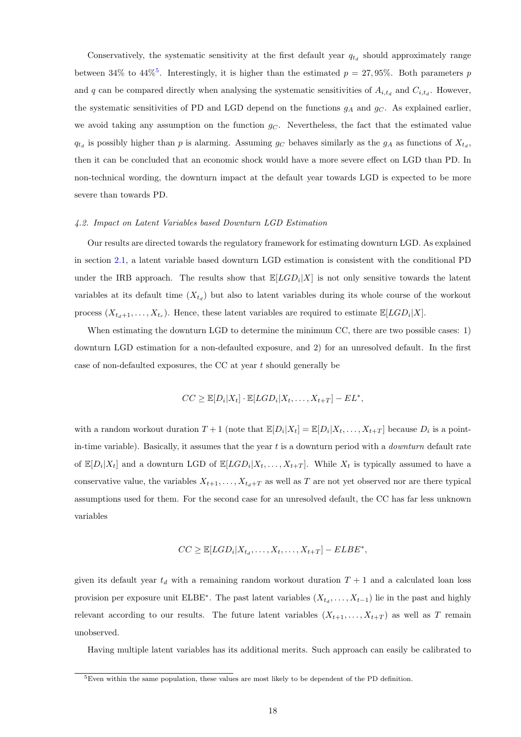Conservatively, the systematic sensitivity at the first default year  $q_{t_d}$  should approximately range between 34% to 44%<sup>[5](#page-0-0)</sup>. Interestingly, it is higher than the estimated  $p = 27,95\%$ . Both parameters p and q can be compared directly when analysing the systematic sensitivities of  $A_{i,t_d}$  and  $C_{i,t_d}$ . However, the systematic sensitivities of PD and LGD depend on the functions  $g_A$  and  $g_C$ . As explained earlier, we avoid taking any assumption on the function  $g<sub>C</sub>$ . Nevertheless, the fact that the estimated value  $q_{t_d}$  is possibly higher than p is alarming. Assuming  $g_C$  behaves similarly as the  $g_A$  as functions of  $X_{t_d}$ , then it can be concluded that an economic shock would have a more severe effect on LGD than PD. In non-technical wording, the downturn impact at the default year towards LGD is expected to be more severe than towards PD.

#### <span id="page-19-0"></span>4.2. Impact on Latent Variables based Downturn LGD Estimation

Our results are directed towards the regulatory framework for estimating downturn LGD. As explained in section [2.1,](#page-4-0) a latent variable based downturn LGD estimation is consistent with the conditional PD under the IRB approach. The results show that  $\mathbb{E}[LGD_i|X]$  is not only sensitive towards the latent variables at its default time  $(X_{t_d})$  but also to latent variables during its whole course of the workout process  $(X_{t_d+1},...,X_{t_r})$ . Hence, these latent variables are required to estimate  $\mathbb{E}[LGD_i|X]$ .

When estimating the downturn LGD to determine the minimum CC, there are two possible cases: 1) downturn LGD estimation for a non-defaulted exposure, and 2) for an unresolved default. In the first case of non-defaulted exposures, the CC at year t should generally be

$$
CC \geq \mathbb{E}[D_i|X_t] \cdot \mathbb{E}[LGD_i|X_t, \dots, X_{t+T}] - EL^*,
$$

with a random workout duration  $T+1$  (note that  $\mathbb{E}[D_i|X_t] = \mathbb{E}[D_i|X_t,\ldots,X_{t+T}]$  because  $D_i$  is a pointin-time variable). Basically, it assumes that the year  $t$  is a downturn period with a *downturn* default rate of  $\mathbb{E}[D_i|X_t]$  and a downturn LGD of  $\mathbb{E}[LGD_i|X_t,\ldots,X_{t+T}]$ . While  $X_t$  is typically assumed to have a conservative value, the variables  $X_{t+1}, \ldots, X_{t_d+T}$  as well as T are not yet observed nor are there typical assumptions used for them. For the second case for an unresolved default, the CC has far less unknown variables

$$
CC \geq \mathbb{E}[LGD_i | X_{t_d}, \dots, X_t, \dots, X_{t+T}] - ELBE^*,
$$

given its default year  $t_d$  with a remaining random workout duration  $T + 1$  and a calculated loan loss provision per exposure unit ELBE<sup>\*</sup>. The past latent variables  $(X_{t_d}, \ldots, X_{t-1})$  lie in the past and highly relevant according to our results. The future latent variables  $(X_{t+1},...,X_{t+T})$  as well as T remain unobserved.

Having multiple latent variables has its additional merits. Such approach can easily be calibrated to

<sup>5</sup>Even within the same population, these values are most likely to be dependent of the PD definition.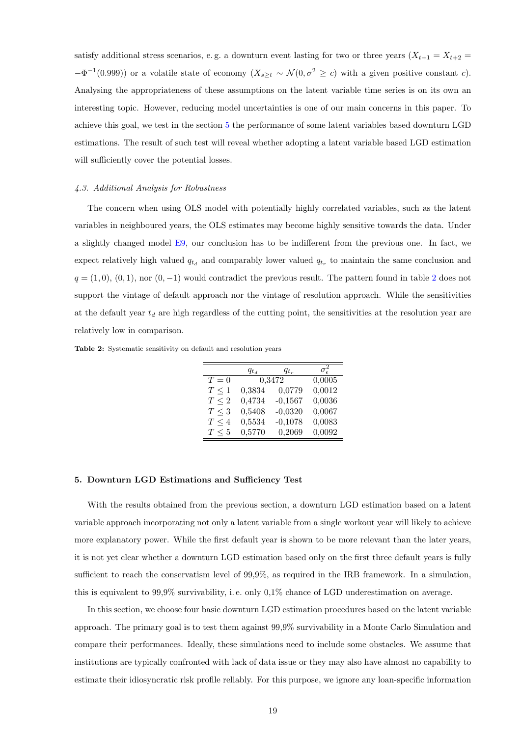satisfy additional stress scenarios, e.g. a downturn event lasting for two or three years  $(X_{t+1} = X_{t+2} =$  $-\Phi^{-1}(0.999)$  or a volatile state of economy  $(X_{s\geq t} \sim \mathcal{N}(0, \sigma^2 \geq c)$  with a given positive constant c). Analysing the appropriateness of these assumptions on the latent variable time series is on its own an interesting topic. However, reducing model uncertainties is one of our main concerns in this paper. To achieve this goal, we test in the section [5](#page-20-1) the performance of some latent variables based downturn LGD estimations. The result of such test will reveal whether adopting a latent variable based LGD estimation will sufficiently cover the potential losses.

#### <span id="page-20-0"></span>4.3. Additional Analysis for Robustness

The concern when using OLS model with potentially highly correlated variables, such as the latent variables in neighboured years, the OLS estimates may become highly sensitive towards the data. Under a slightly changed model [E9,](#page-14-1) our conclusion has to be indifferent from the previous one. In fact, we expect relatively high valued  $q_{t_d}$  and comparably lower valued  $q_{t_r}$  to maintain the same conclusion and  $q = (1, 0), (0, 1),$  nor  $(0, -1)$  would contradict the previous result. The pattern found in table [2](#page-20-2) does not support the vintage of default approach nor the vintage of resolution approach. While the sensitivities at the default year  $t_d$  are high regardless of the cutting point, the sensitivities at the resolution year are relatively low in comparison.

<span id="page-20-2"></span>Table 2: Systematic sensitivity on default and resolution years

|            | $q_{t_d}$ | $q_{t_r}$ | $\sigma_{\epsilon}^2$ |
|------------|-----------|-----------|-----------------------|
| $T=0$      | 0,3472    |           | 0,0005                |
| $T \leq 1$ | 0,3834    | 0,0779    | 0,0012                |
| $T \leq 2$ | 0,4734    | $-0,1567$ | 0,0036                |
| $T \leq 3$ | 0,5408    | $-0,0320$ | 0,0067                |
| $T \leq 4$ | 0,5534    | $-0,1078$ | 0,0083                |
| $T \leq 5$ | 0,5770    | 0,2069    | 0,0092                |

#### <span id="page-20-1"></span>5. Downturn LGD Estimations and Sufficiency Test

With the results obtained from the previous section, a downturn LGD estimation based on a latent variable approach incorporating not only a latent variable from a single workout year will likely to achieve more explanatory power. While the first default year is shown to be more relevant than the later years, it is not yet clear whether a downturn LGD estimation based only on the first three default years is fully sufficient to reach the conservatism level of 99,9%, as required in the IRB framework. In a simulation, this is equivalent to 99,9% survivability, i. e. only 0,1% chance of LGD underestimation on average.

In this section, we choose four basic downturn LGD estimation procedures based on the latent variable approach. The primary goal is to test them against 99,9% survivability in a Monte Carlo Simulation and compare their performances. Ideally, these simulations need to include some obstacles. We assume that institutions are typically confronted with lack of data issue or they may also have almost no capability to estimate their idiosyncratic risk profile reliably. For this purpose, we ignore any loan-specific information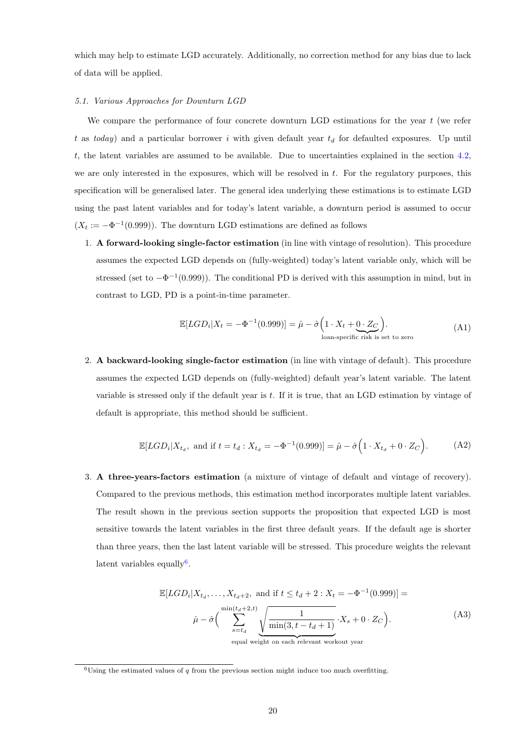which may help to estimate LGD accurately. Additionally, no correction method for any bias due to lack of data will be applied.

## <span id="page-21-0"></span>5.1. Various Approaches for Downturn LGD

We compare the performance of four concrete downturn LGD estimations for the year  $t$  (we refer t as today) and a particular borrower i with given default year  $t_d$  for defaulted exposures. Up until t, the latent variables are assumed to be available. Due to uncertainties explained in the section [4.2,](#page-19-0) we are only interested in the exposures, which will be resolved in  $t$ . For the regulatory purposes, this specification will be generalised later. The general idea underlying these estimations is to estimate LGD using the past latent variables and for today's latent variable, a downturn period is assumed to occur  $(X_t := -\Phi^{-1}(0.999))$ . The downturn LGD estimations are defined as follows

<span id="page-21-1"></span>1. A forward-looking single-factor estimation (in line with vintage of resolution). This procedure assumes the expected LGD depends on (fully-weighted) today's latent variable only, which will be stressed (set to  $-\Phi^{-1}(0.999)$ ). The conditional PD is derived with this assumption in mind, but in contrast to LGD, PD is a point-in-time parameter.

$$
\mathbb{E}[LGD_i|X_t = -\Phi^{-1}(0.999)] = \hat{\mu} - \hat{\sigma}\left(1 \cdot X_t + \underbrace{0 \cdot Z_C}_{\text{loan-specific risk is set to zero}}\right). \tag{A1}
$$

<span id="page-21-2"></span>2. A backward-looking single-factor estimation (in line with vintage of default). This procedure assumes the expected LGD depends on (fully-weighted) default year's latent variable. The latent variable is stressed only if the default year is t. If it is true, that an LGD estimation by vintage of default is appropriate, this method should be sufficient.

$$
\mathbb{E}[LGD_i|X_{t_d}, \text{ and if } t = t_d : X_{t_d} = -\Phi^{-1}(0.999)] = \hat{\mu} - \hat{\sigma}\Big(1 \cdot X_{t_d} + 0 \cdot Z_C\Big). \tag{A2}
$$

<span id="page-21-3"></span>3. A three-years-factors estimation (a mixture of vintage of default and vintage of recovery). Compared to the previous methods, this estimation method incorporates multiple latent variables. The result shown in the previous section supports the proposition that expected LGD is most sensitive towards the latent variables in the first three default years. If the default age is shorter than three years, then the last latent variable will be stressed. This procedure weights the relevant latent variables equally<sup>[6](#page-0-0)</sup>.

$$
\mathbb{E}[LGD_i|X_{t_d},\ldots,X_{t_d+2},\text{ and if }t \le t_d+2:X_t = -\Phi^{-1}(0.999)] =
$$
\n
$$
\hat{\mu} - \hat{\sigma}\left(\sum_{s=t_d}^{\min(t_d+2,t)} \underbrace{\sqrt{\frac{1}{\min(3,t-t_d+1)}}}_{\text{count to each relevant weight error}} \cdot X_s + 0 \cdot Z_C\right). \tag{A3}
$$

equal weight on each relevant workout year

 $6$ Using the estimated values of q from the previous section might induce too much overfitting.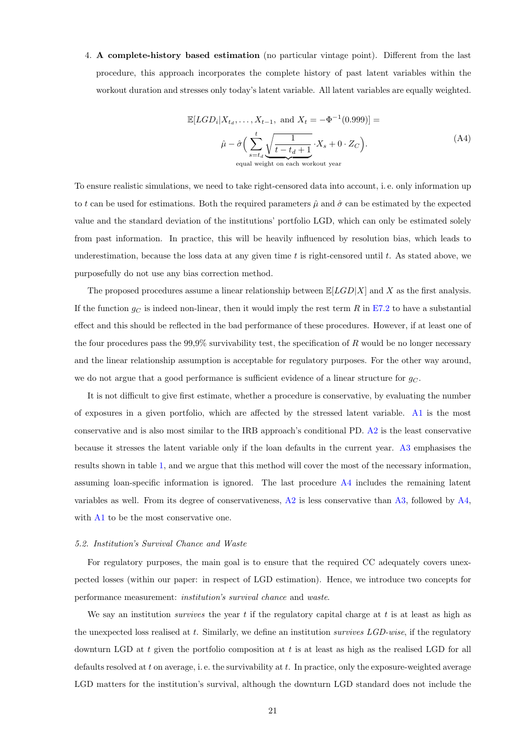<span id="page-22-1"></span>4. A complete-history based estimation (no particular vintage point). Different from the last procedure, this approach incorporates the complete history of past latent variables within the workout duration and stresses only today's latent variable. All latent variables are equally weighted.

$$
\mathbb{E}[LGD_i|X_{t_d}, \dots, X_{t-1}, \text{ and } X_t = -\Phi^{-1}(0.999)] =
$$
\n
$$
\hat{\mu} - \hat{\sigma}\Big(\sum_{s=t_d}^t \underbrace{\sqrt{\frac{1}{t - t_d + 1}}}_{\text{equal weight on each workout year}} \cdot X_s + 0 \cdot Z_C\Big).
$$
\n(A4)

To ensure realistic simulations, we need to take right-censored data into account, i. e. only information up to t can be used for estimations. Both the required parameters  $\hat{\mu}$  and  $\hat{\sigma}$  can be estimated by the expected value and the standard deviation of the institutions' portfolio LGD, which can only be estimated solely from past information. In practice, this will be heavily influenced by resolution bias, which leads to underestimation, because the loss data at any given time  $t$  is right-censored until  $t$ . As stated above, we purposefully do not use any bias correction method.

The proposed procedures assume a linear relationship between  $\mathbb{E}[LGD|X]$  and X as the first analysis. If the function  $g_C$  is indeed non-linear, then it would imply the rest term R in [E7.2](#page-11-0) to have a substantial effect and this should be reflected in the bad performance of these procedures. However, if at least one of the four procedures pass the  $99.9\%$  survivability test, the specification of R would be no longer necessary and the linear relationship assumption is acceptable for regulatory purposes. For the other way around, we do not argue that a good performance is sufficient evidence of a linear structure for  $g_C$ .

It is not difficult to give first estimate, whether a procedure is conservative, by evaluating the number of exposures in a given portfolio, which are affected by the stressed latent variable. [A1](#page-21-1) is the most conservative and is also most similar to the IRB approach's conditional PD. [A2](#page-21-2) is the least conservative because it stresses the latent variable only if the loan defaults in the current year. [A3](#page-21-3) emphasises the results shown in table [1,](#page-18-1) and we argue that this method will cover the most of the necessary information, assuming loan-specific information is ignored. The last procedure [A4](#page-22-1) includes the remaining latent variables as well. From its degree of conservativeness, [A2](#page-21-2) is less conservative than [A3,](#page-21-3) followed by [A4,](#page-22-1) with [A1](#page-21-1) to be the most conservative one.

## <span id="page-22-0"></span>5.2. Institution's Survival Chance and Waste

For regulatory purposes, the main goal is to ensure that the required CC adequately covers unexpected losses (within our paper: in respect of LGD estimation). Hence, we introduce two concepts for performance measurement: institution's survival chance and waste.

We say an institution *survives* the year  $t$  if the regulatory capital charge at  $t$  is at least as high as the unexpected loss realised at t. Similarly, we define an institution *survives LGD-wise*, if the regulatory downturn LGD at  $t$  given the portfolio composition at  $t$  is at least as high as the realised LGD for all defaults resolved at t on average, i.e. the survivability at t. In practice, only the exposure-weighted average LGD matters for the institution's survival, although the downturn LGD standard does not include the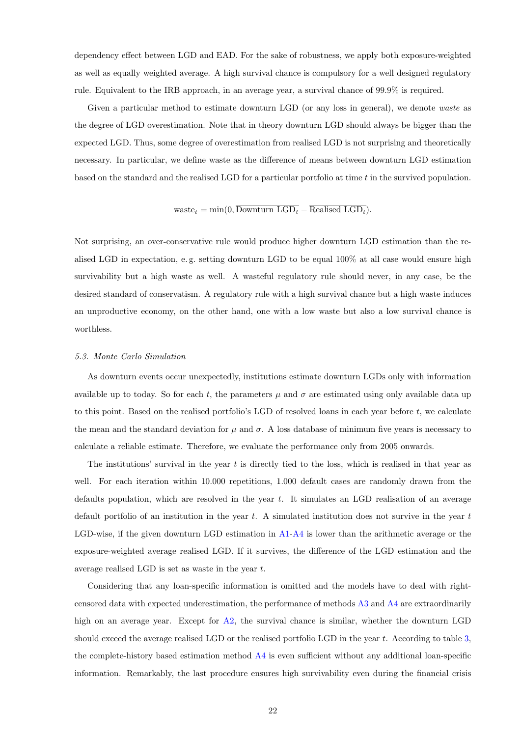dependency effect between LGD and EAD. For the sake of robustness, we apply both exposure-weighted as well as equally weighted average. A high survival chance is compulsory for a well designed regulatory rule. Equivalent to the IRB approach, in an average year, a survival chance of 99.9% is required.

Given a particular method to estimate downturn LGD (or any loss in general), we denote waste as the degree of LGD overestimation. Note that in theory downturn LGD should always be bigger than the expected LGD. Thus, some degree of overestimation from realised LGD is not surprising and theoretically necessary. In particular, we define waste as the difference of means between downturn LGD estimation based on the standard and the realised LGD for a particular portfolio at time  $t$  in the survived population.

# waste $t = \min(0, \overline{\text{Downturn LGD}_t} - \overline{\text{Realised LGD}_t}).$

Not surprising, an over-conservative rule would produce higher downturn LGD estimation than the realised LGD in expectation, e. g. setting downturn LGD to be equal 100% at all case would ensure high survivability but a high waste as well. A wasteful regulatory rule should never, in any case, be the desired standard of conservatism. A regulatory rule with a high survival chance but a high waste induces an unproductive economy, on the other hand, one with a low waste but also a low survival chance is worthless.

#### <span id="page-23-0"></span>5.3. Monte Carlo Simulation

As downturn events occur unexpectedly, institutions estimate downturn LGDs only with information available up to today. So for each t, the parameters  $\mu$  and  $\sigma$  are estimated using only available data up to this point. Based on the realised portfolio's LGD of resolved loans in each year before t, we calculate the mean and the standard deviation for  $\mu$  and  $\sigma$ . A loss database of minimum five years is necessary to calculate a reliable estimate. Therefore, we evaluate the performance only from 2005 onwards.

The institutions' survival in the year  $t$  is directly tied to the loss, which is realised in that year as well. For each iteration within 10.000 repetitions, 1.000 default cases are randomly drawn from the defaults population, which are resolved in the year  $t$ . It simulates an LGD realisation of an average default portfolio of an institution in the year  $t$ . A simulated institution does not survive in the year  $t$ LGD-wise, if the given downturn LGD estimation in [A1-](#page-21-1)[A4](#page-22-1) is lower than the arithmetic average or the exposure-weighted average realised LGD. If it survives, the difference of the LGD estimation and the average realised LGD is set as waste in the year t.

Considering that any loan-specific information is omitted and the models have to deal with rightcensored data with expected underestimation, the performance of methods [A3](#page-21-3) and [A4](#page-22-1) are extraordinarily high on an average year. Except for [A2,](#page-21-2) the survival chance is similar, whether the downturn LGD should exceed the average realised LGD or the realised portfolio LGD in the year  $t$ . According to table [3,](#page-24-0) the complete-history based estimation method [A4](#page-22-1) is even sufficient without any additional loan-specific information. Remarkably, the last procedure ensures high survivability even during the financial crisis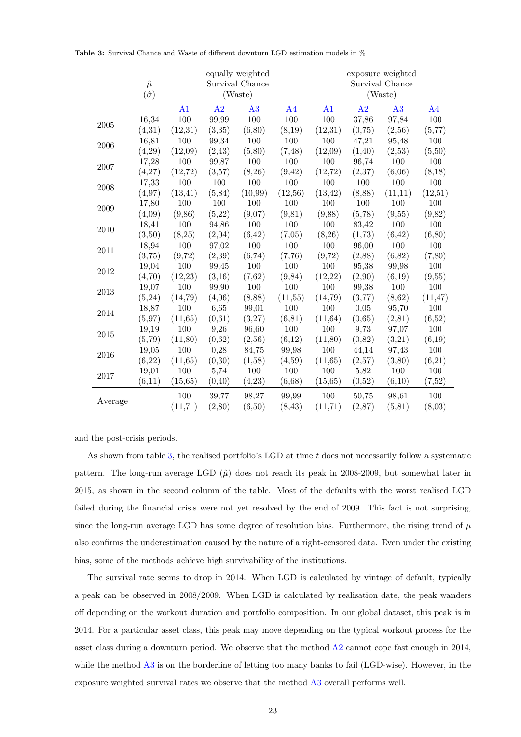|            |                  |                |         | equally weighted |                | exposure weighted |         |                 |                |  |
|------------|------------------|----------------|---------|------------------|----------------|-------------------|---------|-----------------|----------------|--|
|            | $\hat{\mu}$      |                |         | Survival Chance  |                |                   |         | Survival Chance |                |  |
|            | $(\hat{\sigma})$ |                |         | (Waste)          |                |                   |         | (Waste)         |                |  |
|            |                  | A <sub>1</sub> | A2      | A3               | A <sub>4</sub> | A1                | A2      | A3              | A <sub>4</sub> |  |
| $\,2005\,$ | 16,34            | 100            | 99,99   | 100              | 100            | 100               | 37,86   | 97,84           | 100            |  |
|            | (4,31)           | (12,31)        | (3,35)  | (6, 80)          | (8,19)         | (12,31)           | (0,75)  | (2,56)          | (5,77)         |  |
| 2006       | 16,81            | 100            | 99,34   | 100              | 100            | 100               | 47,21   | 95,48           | $100\,$        |  |
|            | (4,29)           | (12,09)        | (2, 43) | (5,80)           | (7, 48)        | (12,09)           | (1, 40) | (2,53)          | (5,50)         |  |
|            | 17,28            | 100            | 99,87   | 100              | 100            | 100               | 96,74   | 100             | 100            |  |
| 2007       | (4,27)           | (12,72)        | (3,57)  | (8,26)           | (9, 42)        | (12, 72)          | (2,37)  | (6,06)          | (8,18)         |  |
| 2008       | 17,33            | $100\,$        | 100     | 100              | 100            | 100               | 100     | 100             | 100            |  |
|            | (4, 97)          | (13, 41)       | (5, 84) | (10,99)          | (12, 56)       | (13, 42)          | (8, 88) | (11,11)         | (12,51)        |  |
| 2009       | 17,80            | 100            | 100     | 100              | 100            | 100               | 100     | 100             | 100            |  |
|            | (4,09)           | (9, 86)        | (5,22)  | (9,07)           | (9, 81)        | (9,88)            | (5,78)  | (9,55)          | (9,82)         |  |
| 2010       | 18,41            | 100            | 94,86   | 100              | 100            | 100               | 83,42   | 100             | 100            |  |
|            | (3,50)           | (8,25)         | (2,04)  | (6,42)           | (7,05)         | (8,26)            | (1,73)  | (6, 42)         | (6, 80)        |  |
| 2011       | 18,94            | 100            | 97,02   | 100              | 100            | 100               | 96,00   | 100             | 100            |  |
|            | (3,75)           | (9,72)         | (2,39)  | (6, 74)          | (7,76)         | (9,72)            | (2,88)  | (6,82)          | (7,80)         |  |
| 2012       | 19,04            | 100            | 99,45   | 100              | 100            | 100               | 95,38   | 99,98           | 100            |  |
|            | (4,70)           | (12, 23)       | (3,16)  | (7,62)           | (9, 84)        | (12,22)           | (2,90)  | (6,19)          | (9,55)         |  |
| 2013       | 19,07            | 100            | 99,90   | 100              | 100            | 100               | 99,38   | 100             | 100            |  |
|            | (5,24)           | (14,79)        | (4,06)  | (8, 88)          | (11, 55)       | (14,79)           | (3,77)  | (8,62)          | (11, 47)       |  |
| 2014       | 18,87            | 100            | 6,65    | 99,01            | 100            | 100               | 0,05    | 95,70           | 100            |  |
|            | (5,97)           | (11, 65)       | (0,61)  | (3,27)           | (6, 81)        | (11, 64)          | (0,65)  | (2, 81)         | (6,52)         |  |
| 2015       | 19,19            | 100            | 9,26    | 96,60            | 100            | 100               | 9,73    | 97,07           | 100            |  |
|            | (5,79)           | (11,80)        | (0,62)  | (2,56)           | (6,12)         | (11,80)           | (0,82)  | (3,21)          | (6,19)         |  |
| 2016       | 19,05            | 100            | 0,28    | 84,75            | 99,98          | 100               | 44,14   | 97,43           | 100            |  |
|            | (6,22)           | (11, 65)       | (0,30)  | (1,58)           | (4,59)         | (11, 65)          | (2,57)  | (3,80)          | (6,21)         |  |
| 2017       | 19,01            | 100            | 5,74    | 100              | 100            | 100               | 5,82    | 100             | 100            |  |
|            | (6,11)           | (15, 65)       | (0, 40) | (4,23)           | (6,68)         | (15, 65)          | (0,52)  | (6,10)          | (7,52)         |  |
| Average    |                  | 100            | 39,77   | 98,27            | 99,99          | 100               | 50,75   | 98,61           | 100            |  |
|            |                  | (11, 71)       | (2,80)  | (6,50)           | (8, 43)        | (11, 71)          | (2, 87) | (5, 81)         | (8,03)         |  |

<span id="page-24-0"></span>Table 3: Survival Chance and Waste of different downturn LGD estimation models in %

and the post-crisis periods.

As shown from table [3,](#page-24-0) the realised portfolio's LGD at time t does not necessarily follow a systematic pattern. The long-run average LGD  $(\hat{\mu})$  does not reach its peak in 2008-2009, but somewhat later in 2015, as shown in the second column of the table. Most of the defaults with the worst realised LGD failed during the financial crisis were not yet resolved by the end of 2009. This fact is not surprising, since the long-run average LGD has some degree of resolution bias. Furthermore, the rising trend of  $\mu$ also confirms the underestimation caused by the nature of a right-censored data. Even under the existing bias, some of the methods achieve high survivability of the institutions.

The survival rate seems to drop in 2014. When LGD is calculated by vintage of default, typically a peak can be observed in 2008/2009. When LGD is calculated by realisation date, the peak wanders off depending on the workout duration and portfolio composition. In our global dataset, this peak is in 2014. For a particular asset class, this peak may move depending on the typical workout process for the asset class during a downturn period. We observe that the method [A2](#page-21-2) cannot cope fast enough in 2014, while the method  $\overline{A}3$  is on the borderline of letting too many banks to fail (LGD-wise). However, in the exposure weighted survival rates we observe that the method [A3](#page-21-3) overall performs well.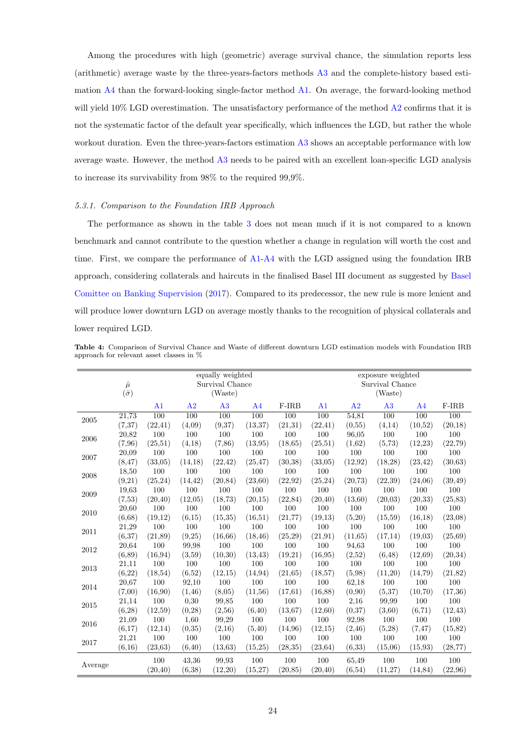Among the procedures with high (geometric) average survival chance, the simulation reports less (arithmetic) average waste by the three-years-factors methods [A3](#page-21-3) and the complete-history based estimation [A4](#page-22-1) than the forward-looking single-factor method [A1.](#page-21-1) On average, the forward-looking method will yield  $10\%$  LGD overestimation. The unsatisfactory performance of the method  $\overline{A2}$  $\overline{A2}$  $\overline{A2}$  confirms that it is not the systematic factor of the default year specifically, which influences the LGD, but rather the whole workout duration. Even the three-years-factors estimation [A3](#page-21-3) shows an acceptable performance with low average waste. However, the method [A3](#page-21-3) needs to be paired with an excellent loan-specific LGD analysis to increase its survivability from 98% to the required 99,9%.

#### <span id="page-25-0"></span>5.3.1. Comparison to the Foundation IRB Approach

The performance as shown in the table [3](#page-24-0) does not mean much if it is not compared to a known benchmark and cannot contribute to the question whether a change in regulation will worth the cost and time. First, we compare the performance of [A1](#page-21-1)[-A4](#page-22-1) with the LGD assigned using the foundation IRB approach, considering collaterals and haircuts in the finalised Basel III document as suggested by [Basel](#page-32-22) [Comittee on Banking Supervision](#page-32-22) [\(2017\)](#page-32-22). Compared to its predecessor, the new rule is more lenient and will produce lower downturn LGD on average mostly thanks to the recognition of physical collaterals and lower required LGD.

<span id="page-25-1"></span>Table 4: Comparison of Survival Chance and Waste of different downturn LGD estimation models with Foundation IRB approach for relevant asset classes in %

|            | $\hat{\mu}$      |                |                  | equally weighted<br>Survival Chance |                |          |                |          | exposure weighted<br>Survival Chance |                |          |
|------------|------------------|----------------|------------------|-------------------------------------|----------------|----------|----------------|----------|--------------------------------------|----------------|----------|
|            | $(\hat{\sigma})$ |                |                  | (Waste)                             |                |          |                |          | (Waste)                              |                |          |
|            |                  | A <sub>1</sub> | A2               | A3                                  | A <sub>4</sub> | F-IRB    | A <sub>1</sub> | A2       | A3                                   | A <sub>4</sub> | F-IRB    |
| $\,2005\,$ | 21,73            | 100            | $\overline{100}$ | 100                                 | 100            | 100      | 100            | 54,81    | 100                                  | 100            | 100      |
|            | (7, 37)          | (22, 41)       | (4,09)           | (9,37)                              | (13, 37)       | (21,31)  | (22, 41)       | (0,55)   | (4,14)                               | (10,52)        | (20,18)  |
| 2006       | 20,82            | 100            | 100              | 100                                 | 100            | 100      | 100            | 96,05    | 100                                  | 100            | 100      |
|            | (7,96)           | (25,51)        | (4,18)           | (7,86)                              | (13,95)        | (18, 65) | (25,51)        | (1,62)   | (5,73)                               | (12, 23)       | (22, 79) |
| 2007       | 20,09            | 100            | 100              | 100                                 | 100            | 100      | 100            | 100      | 100                                  | 100            | 100      |
|            | (8, 47)          | (33,05)        | (14, 18)         | (22, 42)                            | (25, 47)       | (30,38)  | (33,05)        | (12, 92) | (18,28)                              | (23, 42)       | (30, 63) |
| 2008       | 18,50            | 100            | 100              | 100                                 | 100            | 100      | 100            | 100      | 100                                  | 100            | 100      |
|            | (9,21)           | (25, 24)       | (14, 42)         | (20, 84)                            | (23,60)        | (22, 92) | (25, 24)       | (20, 73) | (22, 39)                             | (24,06)        | (39, 49) |
| 2009       | 19,63            | 100            | 100              | 100                                 | 100            | 100      | 100            | 100      | 100                                  | 100            | 100      |
|            | (7,53)           | (20, 40)       | (12,05)          | (18, 73)                            | (20,15)        | (22, 84) | (20, 40)       | (13,60)  | (20,03)                              | (20,33)        | (25, 83) |
| 2010       | 20,60            | 100            | 100              | 100                                 | 100            | 100      | 100            | 100      | 100                                  | 100            | 100      |
|            | (6,68)           | (19,12)        | (6,15)           | (15, 35)                            | (16,51)        | (21, 77) | (19,13)        | (5,20)   | (15,59)                              | (16, 18)       | (23,08)  |
| 2011       | 21,29            | 100            | 100              | 100                                 | 100            | 100      | 100            | $100\,$  | 100                                  | 100            | 100      |
|            | (6,37)           | (21, 89)       | (9,25)           | (16, 66)                            | (18, 46)       | (25,29)  | (21, 91)       | (11, 65) | (17,14)                              | (19,03)        | (25, 69) |
| 2012       | 20,64            | 100            | 99,98            | 100                                 | 100            | 100      | 100            | 94,63    | 100                                  | 100            | 100      |
|            | (6, 89)          | (16, 94)       | (3,59)           | (10,30)                             | (13, 43)       | (19,21)  | (16,95)        | (2,52)   | (6, 48)                              | (12, 69)       | (20, 34) |
| 2013       | 21,11            | 100            | 100              | 100                                 | 100            | 100      | 100            | 100      | 100                                  | 100            | 100      |
|            | (6,22)           | (18, 54)       | (6,52)           | (12,15)                             | (14, 94)       | (21, 65) | (18,57)        | (5,98)   | (11,20)                              | (14, 79)       | (21, 82) |
| 2014       | 20,67            | 100            | 92,10            | 100                                 | 100            | 100      | 100            | 62,18    | 100                                  | 100            | 100      |
|            | (7,00)           | (16,90)        | (1, 46)          | (8,05)                              | (11,56)        | (17,61)  | (16, 88)       | (0,90)   | (5,37)                               | (10,70)        | (17,36)  |
| 2015       | 21,14            | 100            | 0,30             | 99,85                               | 100            | 100      | 100            | 2,16     | 99,99                                | 100            | $100\,$  |
|            | (6, 28)          | (12,59)        | (0, 28)          | (2,56)                              | (6, 40)        | (13,67)  | (12,60)        | (0,37)   | (3,60)                               | (6, 71)        | (12, 43) |
| 2016       | 21,09            | 100            | 1,60             | 99,29                               | 100            | 100      | 100            | 92,98    | 100                                  | 100            | 100      |
|            | (6,17)           | (12,14)        | (0,35)           | (2,16)                              | (5, 40)        | (14,96)  | (12,15)        | (2, 46)  | (5,28)                               | (7, 47)        | (15, 82) |
| 2017       | 21,21            | 100            | 100              | 100                                 | 100            | 100      | 100            | 100      | 100                                  | 100            | 100      |
|            | (6.16)           | (23, 63)       | (6,40)           | (13, 63)                            | (15,25)        | (28, 35) | (23, 64)       | (6,33)   | (15,06)                              | (15, 93)       | (28, 77) |
|            |                  | 100            | 43,36            | 99.93                               | 100            | 100      | 100            | 65,49    | 100                                  | 100            | 100      |
| Average    |                  | (20, 40)       | (6,38)           | (12,20)                             | (15,27)        | (20, 85) | (20, 40)       | (6, 54)  | (11,27)                              | (14, 84)       | (22,96)  |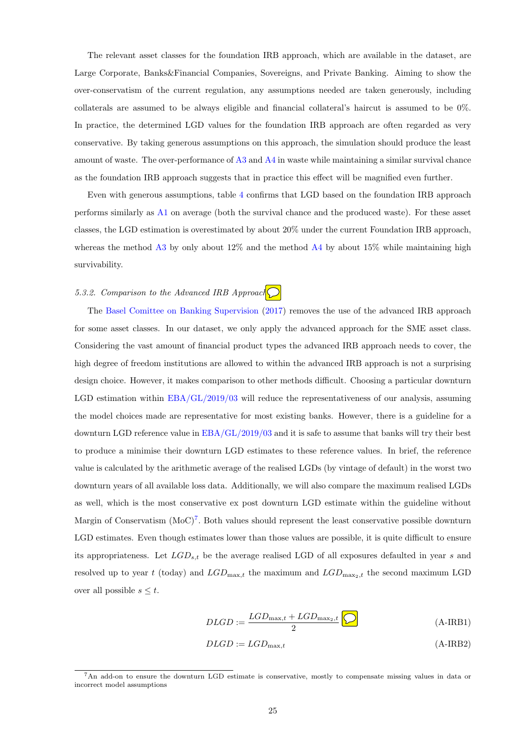The relevant asset classes for the foundation IRB approach, which are available in the dataset, are Large Corporate, Banks&Financial Companies, Sovereigns, and Private Banking. Aiming to show the over-conservatism of the current regulation, any assumptions needed are taken generously, including collaterals are assumed to be always eligible and financial collateral's haircut is assumed to be 0%. In practice, the determined LGD values for the foundation IRB approach are often regarded as very conservative. By taking generous assumptions on this approach, the simulation should produce the least amount of waste. The over-performance of [A3](#page-21-3) and [A4](#page-22-1) in waste while maintaining a similar survival chance as the foundation IRB approach suggests that in practice this effect will be magnified even further.

Even with generous assumptions, table [4](#page-25-1) confirms that LGD based on the foundation IRB approach performs similarly as [A1](#page-21-1) on average (both the survival chance and the produced waste). For these asset classes, the LGD estimation is overestimated by about 20% under the current Foundation IRB approach, whereas the method [A3](#page-21-3) by only about  $12\%$  and the method [A4](#page-22-1) by about  $15\%$  while maintaining high survivability.

# <span id="page-26-0"></span>5.3.2. Comparison to the Advanced IRB Approach

The [Basel Comittee on Banking Supervision](#page-32-22) [\(2017\)](#page-32-22) removes the use of the advanced IRB approach for some asset classes. In our dataset, we only apply the advanced approach for the SME asset class. Considering the vast amount of financial product types the advanced IRB approach needs to cover, the high degree of freedom institutions are allowed to within the advanced IRB approach is not a surprising design choice. However, it makes comparison to other methods difficult. Choosing a particular downturn LGD estimation within [EBA/GL/2019/03](#page-32-1) will reduce the representativeness of our analysis, assuming the model choices made are representative for most existing banks. However, there is a guideline for a downturn LGD reference value in [EBA/GL/2019/03](#page-32-1) and it is safe to assume that banks will try their best to produce a minimise their downturn LGD estimates to these reference values. In brief, the reference value is calculated by the arithmetic average of the realised LGDs (by vintage of default) in the worst two downturn years of all available loss data. Additionally, we will also compare the maximum realised LGDs as well, which is the most conservative ex post downturn LGD estimate within the guideline without Margin of Conservatism  $(MoC)^7$  $(MoC)^7$ . Both values should represent the least conservative possible downturn LGD estimates. Even though estimates lower than those values are possible, it is quite difficult to ensure its appropriateness. Let  $LGD_{s,t}$  be the average realised LGD of all exposures defaulted in year s and resolved up to year t (today) and  $LGD_{\text{max},t}$  the maximum and  $LGD_{\text{max}_2,t}$  the second maximum LGD over all possible  $s \leq t$ .

$$
DLGD := \frac{LGD_{\text{max},t} + LGD_{\text{max}_2,t}}{2}
$$
 (A-IRB1)

$$
DLGD := LGD_{\text{max},t} \tag{A-IRB2}
$$

<sup>7</sup>An add-on to ensure the downturn LGD estimate is conservative, mostly to compensate missing values in data or incorrect model assumptions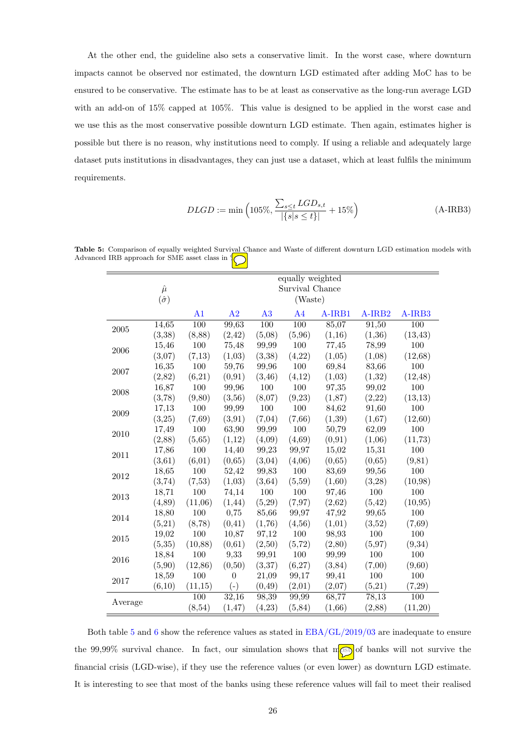At the other end, the guideline also sets a conservative limit. In the worst case, where downturn impacts cannot be observed nor estimated, the downturn LGD estimated after adding MoC has to be ensured to be conservative. The estimate has to be at least as conservative as the long-run average LGD with an add-on of 15% capped at 105%. This value is designed to be applied in the worst case and we use this as the most conservative possible downturn LGD estimate. Then again, estimates higher is possible but there is no reason, why institutions need to comply. If using a reliable and adequately large dataset puts institutions in disadvantages, they can just use a dataset, which at least fulfils the minimum requirements.

$$
DLGD := \min\left(105\%, \frac{\sum_{s\leq t} LGD_{s,t}}{|\{s|s\leq t\}|} + 15\%\right)
$$
\n(A-IRB3)

<span id="page-27-0"></span>Table 5: Comparison of equally weighted Survival Chance and Waste of different downturn LGD estimation models with Advanced IRB approach for SME asset class in %

|         |                  |                  |          |                  | equally weighted |         |         |          |
|---------|------------------|------------------|----------|------------------|------------------|---------|---------|----------|
|         | $\hat{\mu}$      |                  |          |                  | Survival Chance  |         |         |          |
|         | $(\hat{\sigma})$ |                  |          |                  | (Waste)          |         |         |          |
|         |                  | A <sub>1</sub>   | A2       | A3               | A <sub>4</sub>   | A-IRB1  | A-IRB2  | A-IRB3   |
| 2005    | 14,65            | $\overline{100}$ | 99,63    | $\overline{100}$ | $\overline{100}$ | 85,07   | 91,50   | 100      |
|         | (3,38)           | (8, 88)          | (2, 42)  | (5,08)           | (5,96)           | (1,16)  | (1,36)  | (13, 43) |
| 2006    | 15,46            | 100              | 75,48    | 99,99            | 100              | 77,45   | 78,99   | 100      |
|         | (3,07)           | (7,13)           | (1,03)   | (3,38)           | (4,22)           | (1,05)  | (1,08)  | (12, 68) |
| 2007    | 16,35            | 100              | 59,76    | 99,96            | 100              | 69,84   | 83,66   | 100      |
|         | (2,82)           | (6,21)           | (0, 91)  | (3, 46)          | (4,12)           | (1,03)  | (1,32)  | (12, 48) |
| 2008    | 16,87            | 100              | 99,96    | 100              | 100              | 97,35   | 99,02   | 100      |
|         | (3,78)           | (9, 80)          | (3,56)   | (8,07)           | (9,23)           | (1, 87) | (2,22)  | (13, 13) |
| 2009    | 17,13            | 100              | 99,99    | 100              | 100              | 84,62   | 91,60   | 100      |
|         | (3,25)           | (7, 69)          | (3, 91)  | (7,04)           | (7,66)           | (1,39)  | (1,67)  | (12,60)  |
| 2010    | 17,49            | 100              | 63,90    | 99,99            | 100              | 50,79   | 62,09   | 100      |
|         | (2,88)           | (5,65)           | (1,12)   | (4,09)           | (4, 69)          | (0, 91) | (1,06)  | (11, 73) |
| 2011    | 17,86            | 100              | 14,40    | 99,23            | 99,97            | 15,02   | 15,31   | 100      |
|         | (3,61)           | (6,01)           | (0,65)   | (3,04)           | (4,06)           | (0,65)  | (0,65)  | (9, 81)  |
| 2012    | 18,65            | 100              | 52,42    | 99,83            | 100              | 83,69   | 99,56   | 100      |
|         | (3,74)           | (7,53)           | (1,03)   | (3, 64)          | (5,59)           | (1,60)  | (3,28)  | (10, 98) |
| 2013    | 18,71            | 100              | 74,14    | 100              | 100              | 97,46   | 100     | 100      |
|         | (4,89)           | (11,06)          | (1, 44)  | (5,29)           | (7, 97)          | (2,62)  | (5, 42) | (10, 95) |
| 2014    | 18,80            | 100              | 0,75     | 85,66            | 99,97            | 47,92   | 99,65   | 100      |
|         | (5,21)           | (8,78)           | (0, 41)  | (1,76)           | (4, 56)          | (1,01)  | (3,52)  | (7, 69)  |
| 2015    | 19,02            | 100              | 10,87    | 97,12            | $100\,$          | 98,93   | 100     | 100      |
|         | (5, 35)          | (10, 88)         | (0,61)   | (2,50)           | (5, 72)          | (2,80)  | (5,97)  | (9,34)   |
| 2016    | 18,84            | 100              | 9,33     | 99,91            | 100              | 99,99   | 100     | 100      |
|         | (5,90)           | (12, 86)         | (0,50)   | (3,37)           | (6,27)           | (3, 84) | (7,00)  | (9,60)   |
| 2017    | 18,59            | 100              | $\theta$ | 21,09            | 99,17            | 99,41   | 100     | 100      |
|         | (6,10)           | (11,15)          | $(-)$    | (0, 49)          | (2,01)           | (2,07)  | (5,21)  | (7,29)   |
| Average |                  | 100              | 32,16    | 98,39            | 99,99            | 68,77   | 78,13   | 100      |
|         |                  | (8, 54)          | (1, 47)  | (4,23)           | (5, 84)          | (1,66)  | (2,88)  | (11,20)  |

Both table [5](#page-27-0) and [6](#page-28-1) show the reference values as stated in [EBA/GL/2019/03](#page-32-1) are inadequate to ensure the 99,99% survival chance. In fact, our simulation shows that most of banks will not survive the financial crisis (LGD-wise), if they use the reference values (or even lower) as downturn LGD estimate. It is interesting to see that most of the banks using these reference values will fail to meet their realised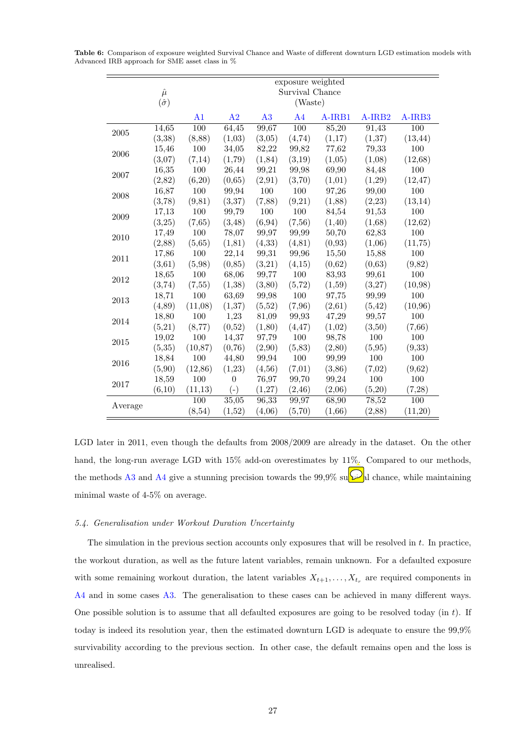|         |                                 |                |                |         | exposure weighted<br>Survival Chance |         |                    |                  |
|---------|---------------------------------|----------------|----------------|---------|--------------------------------------|---------|--------------------|------------------|
|         | $\hat{\mu}$<br>$(\hat{\sigma})$ |                |                |         | (Waste)                              |         |                    |                  |
|         |                                 | A <sub>1</sub> | A <sub>2</sub> | A3      | A <sub>4</sub>                       | A-IRB1  | A-IRB <sub>2</sub> | A-IRB3           |
| 2005    | 14,65                           | 100            | 64,45          | 99,67   | $\overline{100}$                     | 85,20   | 91,43              | $\overline{100}$ |
|         | (3,38)                          | (8,88)         | (1,03)         | (3,05)  | (4,74)                               | (1,17)  | (1,37)             | (13, 44)         |
| 2006    | 15,46                           | 100            | 34,05          | 82,22   | 99,82                                | 77,62   | 79,33              | 100              |
|         | (3,07)                          | (7,14)         | (1,79)         | (1, 84) | (3,19)                               | (1,05)  | (1,08)             | (12, 68)         |
| 2007    | 16,35                           | 100            | 26,44          | 99,21   | 99,98                                | 69,90   | 84,48              | 100              |
|         | (2,82)                          | (6,20)         | (0,65)         | (2,91)  | (3,70)                               | (1,01)  | (1,29)             | (12, 47)         |
| 2008    | 16,87                           | 100            | 99,94          | 100     | 100                                  | 97,26   | 99,00              | 100              |
|         | (3,78)                          | (9, 81)        | (3,37)         | (7,88)  | (9,21)                               | (1,88)  | (2,23)             | (13, 14)         |
| 2009    | 17,13                           | 100            | 99,79          | 100     | 100                                  | 84,54   | 91,53              | 100              |
|         | (3,25)                          | (7,65)         | (3, 48)        | (6, 94) | (7,56)                               | (1,40)  | (1,68)             | (12,62)          |
| 2010    | 17,49                           | 100            | 78,07          | 99,97   | 99,99                                | 50,70   | 62,83              | 100              |
|         | (2,88)                          | (5,65)         | (1, 81)        | (4, 33) | (4, 81)                              | (0,93)  | (1,06)             | (11,75)          |
| 2011    | 17,86                           | 100            | 22,14          | 99,31   | 99,96                                | 15,50   | 15,88              | 100              |
|         | (3,61)                          | (5,98)         | (0, 85)        | (3,21)  | (4,15)                               | (0,62)  | (0,63)             | (9,82)           |
| 2012    | 18,65                           | 100            | 68,06          | 99,77   | 100                                  | 83,93   | 99,61              | 100              |
|         | (3,74)                          | (7, 55)        | (1,38)         | (3,80)  | (5, 72)                              | (1,59)  | (3,27)             | (10,98)          |
| 2013    | 18,71                           | 100            | 63,69          | 99,98   | 100                                  | 97,75   | 99,99              | 100              |
|         | (4, 89)                         | (11,08)        | (1,37)         | (5,52)  | (7,96)                               | (2,61)  | (5,42)             | (10,96)          |
| 2014    | 18,80                           | 100            | 1,23           | 81,09   | 99,93                                | 47,29   | 99,57              | 100              |
|         | (5,21)                          | (8,77)         | (0,52)         | (1,80)  | (4, 47)                              | (1,02)  | (3,50)             | (7,66)           |
| 2015    | 19,02                           | 100            | 14,37          | 97,79   | 100                                  | 98,78   | 100                | 100              |
|         | (5,35)                          | (10, 87)       | (0,76)         | (2,90)  | (5,83)                               | (2,80)  | (5,95)             | (9,33)           |
| 2016    | 18,84                           | 100            | 44,80          | 99,94   | 100                                  | 99,99   | 100                | 100              |
|         | (5,90)                          | (12, 86)       | (1,23)         | (4, 56) | (7,01)                               | (3, 86) | (7,02)             | (9,62)           |
| 2017    | 18,59                           | 100            | $\theta$       | 76,97   | 99,70                                | 99,24   | 100                | 100              |
|         | (6,10)                          | (11, 13)       | $(-)$          | (1,27)  | (2, 46)                              | (2,06)  | (5,20)             | (7,28)           |
|         |                                 | 100            | 35,05          | 96,33   | 99,97                                | 68,90   | 78,52              | 100              |
| Average |                                 | (8, 54)        | (1,52)         | (4,06)  | (5,70)                               | (1,66)  | (2,88)             | (11,20)          |

<span id="page-28-1"></span>Table 6: Comparison of exposure weighted Survival Chance and Waste of different downturn LGD estimation models with Advanced IRB approach for SME asset class in %

LGD later in 2011, even though the defaults from 2008/2009 are already in the dataset. On the other hand, the long-run average LGD with 15% add-on overestimates by 11%. Compared to our methods, the methods [A3](#page-21-3) and [A4](#page-22-1) give a stunning precision towards the 99,9% sum  $\mathbb{R}$  chance, while maintaining minimal waste of 4-5% on average.

## <span id="page-28-0"></span>5.4. Generalisation under Workout Duration Uncertainty

The simulation in the previous section accounts only exposures that will be resolved in  $t$ . In practice, the workout duration, as well as the future latent variables, remain unknown. For a defaulted exposure with some remaining workout duration, the latent variables  $X_{t+1}, \ldots, X_{t_r}$  are required components in [A4](#page-22-1) and in some cases [A3.](#page-21-3) The generalisation to these cases can be achieved in many different ways. One possible solution is to assume that all defaulted exposures are going to be resolved today (in t). If today is indeed its resolution year, then the estimated downturn LGD is adequate to ensure the 99,9% survivability according to the previous section. In other case, the default remains open and the loss is unrealised.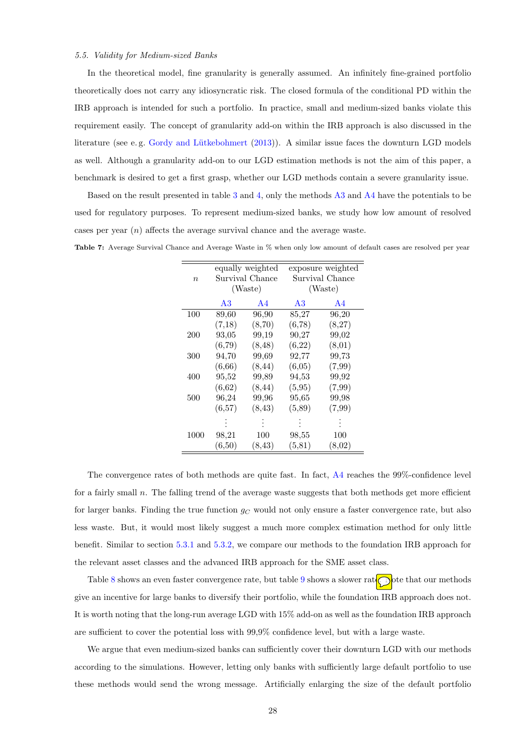#### <span id="page-29-0"></span>5.5. Validity for Medium-sized Banks

In the theoretical model, fine granularity is generally assumed. An infinitely fine-grained portfolio theoretically does not carry any idiosyncratic risk. The closed formula of the conditional PD within the IRB approach is intended for such a portfolio. In practice, small and medium-sized banks violate this requirement easily. The concept of granularity add-on within the IRB approach is also discussed in the literature (see e.g. Gordy and Lütkebohmert [\(2013\)](#page-32-23)). A similar issue faces the downturn LGD models as well. Although a granularity add-on to our LGD estimation methods is not the aim of this paper, a benchmark is desired to get a first grasp, whether our LGD methods contain a severe granularity issue.

Based on the result presented in table [3](#page-24-0) and [4,](#page-25-1) only the methods [A3](#page-21-3) and [A4](#page-22-1) have the potentials to be used for regulatory purposes. To represent medium-sized banks, we study how low amount of resolved cases per year  $(n)$  affects the average survival chance and the average waste.

|                  |        | equally weighted |         | exposure weighted |
|------------------|--------|------------------|---------|-------------------|
| $\boldsymbol{n}$ |        | Survival Chance  |         | Survival Chance   |
|                  |        | (Waste)          |         | (Waste)           |
|                  | A3     | A4               | A3      | A4                |
| 100              | 89,60  | 96,90            | 85,27   | 96,20             |
|                  | (7,18) | (8,70)           | (6,78)  | (8,27)            |
| 200              | 93,05  | 99,19            | 90,27   | 99,02             |
|                  | (6,79) | (8, 48)          | (6,22)  | (8,01)            |
| 300              | 94,70  | 99,69            | 92,77   | 99,73             |
|                  | (6,66) | (8, 44)          | (6,05)  | (7,99)            |
| 400              | 95,52  | 99,89            | 94,53   | 99,92             |
|                  | (6,62) | (8, 44)          | (5,95)  | (7,99)            |
| 500              | 96,24  | 99,96            | 95,65   | 99,98             |
|                  | (6,57) | (8, 43)          | (5,89)  | (7,99)            |
|                  |        |                  |         |                   |
| 1000             | 98,21  | 100              | 98,55   | 100               |
|                  | (6,50) | (8, 43)          | (5, 81) | (8,02)            |

Table 7: Average Survival Chance and Average Waste in % when only low amount of default cases are resolved per year

The convergence rates of both methods are quite fast. In fact, [A4](#page-22-1) reaches the 99%-confidence level for a fairly small  $n$ . The falling trend of the average waste suggests that both methods get more efficient for larger banks. Finding the true function  $g_C$  would not only ensure a faster convergence rate, but also less waste. But, it would most likely suggest a much more complex estimation method for only little benefit. Similar to section [5.3.1](#page-25-0) and [5.3.2,](#page-26-0) we compare our methods to the foundation IRB approach for the relevant asset classes and the advanced IRB approach for the SME asset class.

Table [8](#page-30-1) shows an even faster convergence rate, but table [9](#page-30-2) shows a slower rate. Dote that our methods give an incentive for large banks to diversify their portfolio, while the foundation IRB approach does not. It is worth noting that the long-run average LGD with 15% add-on as well as the foundation IRB approach are sufficient to cover the potential loss with 99,9% confidence level, but with a large waste.

We argue that even medium-sized banks can sufficiently cover their downturn LGD with our methods according to the simulations. However, letting only banks with sufficiently large default portfolio to use these methods would send the wrong message. Artificially enlarging the size of the default portfolio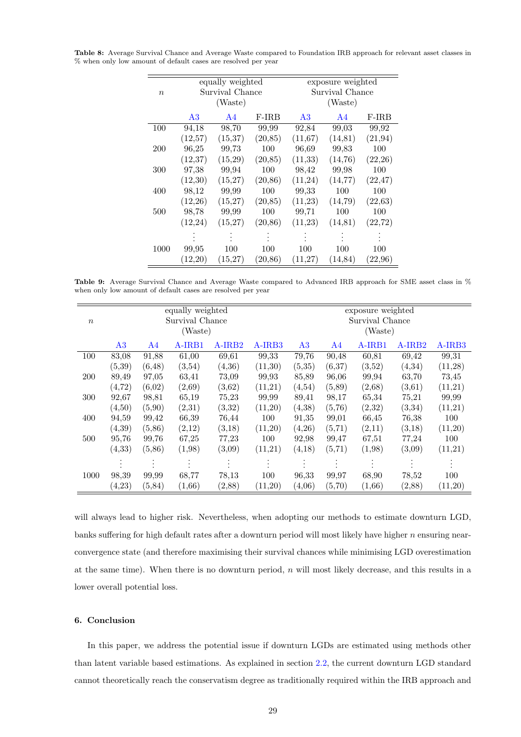|                  |          | equally weighted |          | exposure weighted |                 |          |  |  |  |  |
|------------------|----------|------------------|----------|-------------------|-----------------|----------|--|--|--|--|
| $\boldsymbol{n}$ |          | Survival Chance  |          |                   | Survival Chance |          |  |  |  |  |
|                  |          | (Waste)          |          | (Waste)           |                 |          |  |  |  |  |
|                  | A3       | A <sub>4</sub>   | $F-IRB$  | A3                | A4              | $F-IRB$  |  |  |  |  |
| 100              | 94,18    | 98,70            | 99,99    | 92,84             | 99,03           | 99,92    |  |  |  |  |
|                  | (12,57)  | (15, 37)         | (20, 85) | (11, 67)          | (14, 81)        | (21, 94) |  |  |  |  |
| 200              | 96,25    | 99,73            | 100      | 96,69             | 99,83           | 100      |  |  |  |  |
|                  | (12, 37) | (15,29)          | (20, 85) | (11, 33)          | (14,76)         | (22,26)  |  |  |  |  |
| 300              | 97,38    | 99,94            | 100      | 98,42             | 99,98           | 100      |  |  |  |  |
|                  | (12,30)  | (15,27)          | (20, 86) | (11,24)           | (14, 77)        | (22, 47) |  |  |  |  |
| 400              | 98,12    | 99,99            | 100      | 99,33             | 100             | 100      |  |  |  |  |
|                  | (12,26)  | (15,27)          | (20, 85) | (11,23)           | (14,79)         | (22, 63) |  |  |  |  |
| 500              | 98,78    | 99,99            | 100      | 99,71             | 100             | 100      |  |  |  |  |
|                  | (12, 24) | (15,27)          | (20, 86) | (11,23)           | (14, 81)        | (22, 72) |  |  |  |  |
|                  |          |                  |          |                   |                 |          |  |  |  |  |
| 1000             | 99,95    | 100              | 100      | 100               | 100             | 100      |  |  |  |  |
|                  | (12,20)  | (15, 27)         | (20, 86) | (11,27)           | (14, 84)        | (22,96)  |  |  |  |  |

<span id="page-30-1"></span>Table 8: Average Survival Chance and Average Waste compared to Foundation IRB approach for relevant asset classes in % when only low amount of default cases are resolved per year

<span id="page-30-2"></span>Table 9: Average Survival Chance and Average Waste compared to Advanced IRB approach for SME asset class in % when only low amount of default cases are resolved per year

|                  |                |         | equally weighted |          |         | exposure weighted          |         |        |        |         |  |  |
|------------------|----------------|---------|------------------|----------|---------|----------------------------|---------|--------|--------|---------|--|--|
| $\boldsymbol{n}$ |                |         | Survival Chance  |          |         | Survival Chance<br>(Waste) |         |        |        |         |  |  |
|                  |                |         | (Waste)          |          |         |                            |         |        |        |         |  |  |
|                  | A <sub>3</sub> | A4      | A-IRB1           | $A-IRB2$ | A-IRB3  | A3                         | A4      | A-IRB1 | A-IRB2 | A-IRB3  |  |  |
| 100              | 83,08          | 91,88   | 61,00            | 69,61    | 99,33   | 79,76                      | 90,48   | 60,81  | 69,42  | 99,31   |  |  |
|                  | (5,39)         | (6, 48) | (3,54)           | (4,36)   | (11,30) | (5, 35)                    | (6,37)  | (3,52) | (4,34) | (11,28) |  |  |
| 200              | 89,49          | 97,05   | 63,41            | 73,09    | 99,93   | 85,89                      | 96,06   | 99,94  | 63,70  | 73,45   |  |  |
|                  | (4, 72)        | (6,02)  | (2,69)           | (3,62)   | (11,21) | (4,54)                     | (5,89)  | (2,68) | (3,61) | (11,21) |  |  |
| 300              | 92,67          | 98,81   | 65,19            | 75,23    | 99,99   | 89,41                      | 98,17   | 65,34  | 75,21  | 99,99   |  |  |
|                  | (4,50)         | (5,90)  | (2,31)           | (3,32)   | (11,20) | (4,38)                     | (5,76)  | (2,32) | (3,34) | (11,21) |  |  |
| 400              | 94,59          | 99,42   | 66,39            | 76,44    | 100     | 91,35                      | 99,01   | 66,45  | 76,38  | 100     |  |  |
|                  | (4.39)         | (5, 86) | (2,12)           | (3,18)   | (11,20) | (4,26)                     | (5, 71) | (2,11) | (3,18) | (11,20) |  |  |
| 500              | 95,76          | 99,76   | 67,25            | 77,23    | 100     | 92,98                      | 99,47   | 67,51  | 77,24  | 100     |  |  |
|                  | (4, 33)        | (5,86)  | (1,98)           | (3,09)   | (11,21) | (4,18)                     | (5, 71) | (1,98) | (3,09) | (11,21) |  |  |
|                  |                |         |                  |          |         |                            |         |        |        |         |  |  |
| 1000             | 98,39          | 99,99   | 68,77            | 78,13    | 100     | 96,33                      | 99,97   | 68,90  | 78,52  | 100     |  |  |
|                  | (4, 23)        | (5, 84) | (1,66)           | (2,88)   | (11,20) | (4,06)                     | (5, 70) | (1,66) | (2,88) | (11,20) |  |  |

will always lead to higher risk. Nevertheless, when adopting our methods to estimate downturn LGD, banks suffering for high default rates after a downturn period will most likely have higher  $n$  ensuring nearconvergence state (and therefore maximising their survival chances while minimising LGD overestimation at the same time). When there is no downturn period,  $n$  will most likely decrease, and this results in a lower overall potential loss.

## <span id="page-30-0"></span>6. Conclusion

In this paper, we address the potential issue if downturn LGDs are estimated using methods other than latent variable based estimations. As explained in section [2.2,](#page-5-0) the current downturn LGD standard cannot theoretically reach the conservatism degree as traditionally required within the IRB approach and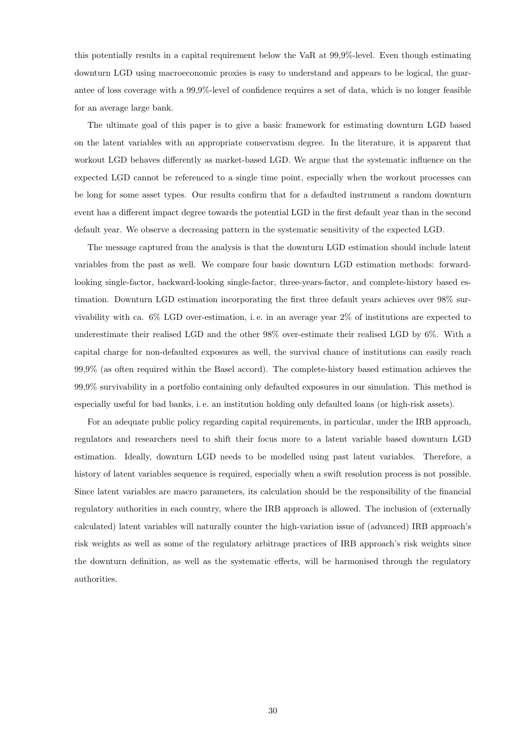this potentially results in a capital requirement below the VaR at 99,9%-level. Even though estimating downturn LGD using macroeconomic proxies is easy to understand and appears to be logical, the guarantee of loss coverage with a 99,9%-level of confidence requires a set of data, which is no longer feasible for an average large bank.

The ultimate goal of this paper is to give a basic framework for estimating downturn LGD based on the latent variables with an appropriate conservatism degree. In the literature, it is apparent that workout LGD behaves differently as market-based LGD. We argue that the systematic influence on the expected LGD cannot be referenced to a single time point, especially when the workout processes can be long for some asset types. Our results confirm that for a defaulted instrument a random downturn event has a different impact degree towards the potential LGD in the first default year than in the second default year. We observe a decreasing pattern in the systematic sensitivity of the expected LGD.

The message captured from the analysis is that the downturn LGD estimation should include latent variables from the past as well. We compare four basic downturn LGD estimation methods: forwardlooking single-factor, backward-looking single-factor, three-years-factor, and complete-history based estimation. Downturn LGD estimation incorporating the first three default years achieves over 98% survivability with ca. 6% LGD over-estimation, i. e. in an average year 2% of institutions are expected to underestimate their realised LGD and the other 98% over-estimate their realised LGD by 6%. With a capital charge for non-defaulted exposures as well, the survival chance of institutions can easily reach 99,9% (as often required within the Basel accord). The complete-history based estimation achieves the 99,9% survivability in a portfolio containing only defaulted exposures in our simulation. This method is especially useful for bad banks, i. e. an institution holding only defaulted loans (or high-risk assets).

For an adequate public policy regarding capital requirements, in particular, under the IRB approach, regulators and researchers need to shift their focus more to a latent variable based downturn LGD estimation. Ideally, downturn LGD needs to be modelled using past latent variables. Therefore, a history of latent variables sequence is required, especially when a swift resolution process is not possible. Since latent variables are macro parameters, its calculation should be the responsibility of the financial regulatory authorities in each country, where the IRB approach is allowed. The inclusion of (externally calculated) latent variables will naturally counter the high-variation issue of (advanced) IRB approach's risk weights as well as some of the regulatory arbitrage practices of IRB approach's risk weights since the downturn definition, as well as the systematic effects, will be harmonised through the regulatory authorities.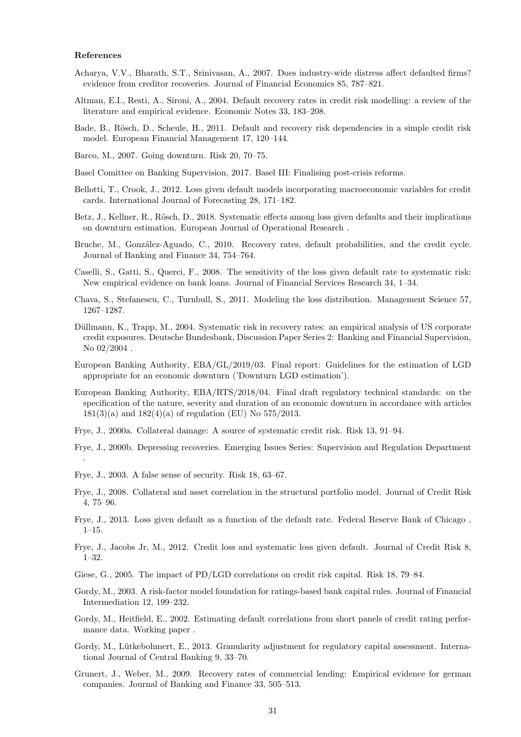#### References

.

- <span id="page-32-14"></span>Acharya, V.V., Bharath, S.T., Srinivasan, A., 2007. Does industry-wide distress affect defaulted firms? evidence from creditor recoveries. Journal of Financial Economics 85, 787–821.
- <span id="page-32-20"></span>Altman, E.I., Resti, A., Sironi, A., 2004. Default recovery rates in credit risk modelling: a review of the literature and empirical evidence. Economic Notes 33, 183–208.
- <span id="page-32-6"></span>Bade, B., Rösch, D., Scheule, H., 2011. Default and recovery risk dependencies in a simple credit risk model. European Financial Management 17, 120–144.
- <span id="page-32-9"></span>Barco, M., 2007. Going downturn. Risk 20, 70–75.
- <span id="page-32-22"></span>Basel Comittee on Banking Supervision, 2017. Basel III: Finalising post-crisis reforms.
- <span id="page-32-17"></span>Bellotti, T., Crook, J., 2012. Loss given default models incorporating macroeconomic variables for credit cards. International Journal of Forecasting 28, 171–182.
- <span id="page-32-4"></span>Betz, J., Kellner, R., Rösch, D., 2018. Systematic effects among loss given defaults and their implications on downturn estimation. European Journal of Operational Research .
- <span id="page-32-12"></span>Bruche, M., González-Aguado, C., 2010. Recovery rates, default probabilities, and the credit cycle. Journal of Banking and Finance 34, 754–764.
- <span id="page-32-15"></span>Caselli, S., Gatti, S., Querci, F., 2008. The sensitivity of the loss given default rate to systematic risk: New empirical evidence on bank loans. Journal of Financial Services Research 34, 1–34.
- <span id="page-32-13"></span>Chava, S., Stefanescu, C., Turnbull, S., 2011. Modeling the loss distribution. Management Science 57, 1267–1287.
- <span id="page-32-18"></span>Düllmann, K., Trapp, M., 2004. Systematic risk in recovery rates: an empirical analysis of US corporate credit exposures. Deutsche Bundesbank, Discussion Paper Series 2: Banking and Financial Supervision, No 02/2004 .
- <span id="page-32-1"></span>European Banking Authority, EBA/GL/2019/03. Final report: Guidelines for the estimation of LGD appropriate for an economic downturn ('Downturn LGD estimation').
- <span id="page-32-0"></span>European Banking Authority, EBA/RTS/2018/04. Final draft regulatory technical standards: on the specification of the nature, severity and duration of an economic downturn in accordance with articles  $181(3)(a)$  and  $182(4)(a)$  of regulation (EU) No 575/2013.
- <span id="page-32-5"></span>Frye, J., 2000a. Collateral damage: A source of systematic credit risk. Risk 13, 91–94.
- <span id="page-32-8"></span>Frye, J., 2000b. Depressing recoveries. Emerging Issues Series: Supervision and Regulation Department
- <span id="page-32-19"></span>Frye, J., 2003. A false sense of security. Risk 18, 63–67.
- <span id="page-32-7"></span>Frye, J., 2008. Collateral and asset correlation in the structural portfolio model. Journal of Credit Risk 4, 75–96.
- <span id="page-32-2"></span>Frye, J., 2013. Loss given default as a function of the default rate. Federal Reserve Bank of Chicago ,  $1-15.$
- <span id="page-32-11"></span>Frye, J., Jacobs Jr, M., 2012. Credit loss and systematic loss given default. Journal of Credit Risk 8, 1–32.
- <span id="page-32-10"></span>Giese, G., 2005. The impact of PD/LGD correlations on credit risk capital. Risk 18, 79–84.
- <span id="page-32-3"></span>Gordy, M., 2003. A risk-factor model foundation for ratings-based bank capital rules. Journal of Financial Intermediation 12, 199–232.
- <span id="page-32-21"></span>Gordy, M., Heitfield, E., 2002. Estimating default correlations from short panels of credit rating performance data. Working paper .
- <span id="page-32-23"></span>Gordy, M., Lütkebohmert, E., 2013. Granularity adjustment for regulatory capital assessment. International Journal of Central Banking 9, 33–70.
- <span id="page-32-16"></span>Grunert, J., Weber, M., 2009. Recovery rates of commercial lending: Empirical evidence for german companies. Journal of Banking and Finance 33, 505–513.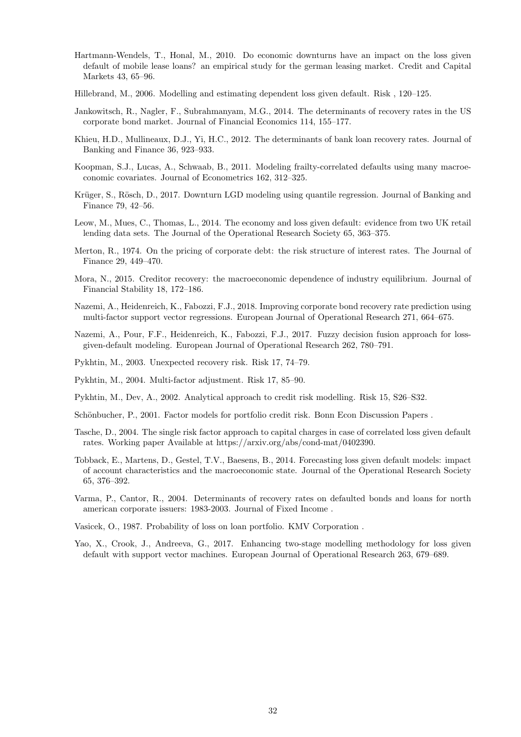- <span id="page-33-15"></span>Hartmann-Wendels, T., Honal, M., 2010. Do economic downturns have an impact on the loss given default of mobile lease loans? an empirical study for the german leasing market. Credit and Capital Markets 43, 65–96.
- <span id="page-33-7"></span>Hillebrand, M., 2006. Modelling and estimating dependent loss given default. Risk , 120–125.
- <span id="page-33-10"></span>Jankowitsch, R., Nagler, F., Subrahmanyam, M.G., 2014. The determinants of recovery rates in the US corporate bond market. Journal of Financial Economics 114, 155–177.
- <span id="page-33-9"></span>Khieu, H.D., Mullineaux, D.J., Yi, H.C., 2012. The determinants of bank loan recovery rates. Journal of Banking and Finance 36, 923–933.
- <span id="page-33-1"></span>Koopman, S.J., Lucas, A., Schwaab, B., 2011. Modeling frailty-correlated defaults using many macroeconomic covariates. Journal of Econometrics 162, 312–325.
- <span id="page-33-17"></span>Krüger, S., Rösch, D., 2017. Downturn LGD modeling using quantile regression. Journal of Banking and Finance 79, 42–56.
- <span id="page-33-11"></span>Leow, M., Mues, C., Thomas, L., 2014. The economy and loss given default: evidence from two UK retail lending data sets. The Journal of the Operational Research Society 65, 363–375.
- <span id="page-33-19"></span>Merton, R., 1974. On the pricing of corporate debt: the risk structure of interest rates. The Journal of Finance 29, 449–470.
- <span id="page-33-12"></span>Mora, N., 2015. Creditor recovery: the macroeconomic dependence of industry equilibrium. Journal of Financial Stability 18, 172–186.
- <span id="page-33-14"></span>Nazemi, A., Heidenreich, K., Fabozzi, F.J., 2018. Improving corporate bond recovery rate prediction using multi-factor support vector regressions. European Journal of Operational Research 271, 664–675.
- <span id="page-33-13"></span>Nazemi, A., Pour, F.F., Heidenreich, K., Fabozzi, F.J., 2017. Fuzzy decision fusion approach for lossgiven-default modeling. European Journal of Operational Research 262, 780–791.
- <span id="page-33-3"></span>Pykhtin, M., 2003. Unexpected recovery risk. Risk 17, 74–79.
- <span id="page-33-4"></span>Pykhtin, M., 2004. Multi-factor adjustment. Risk 17, 85–90.
- <span id="page-33-2"></span>Pykhtin, M., Dev, A., 2002. Analytical approach to credit risk modelling. Risk 15, S26–S32.
- <span id="page-33-5"></span>Schönbucher, P., 2001. Factor models for portfolio credit risk. Bonn Econ Discussion Papers.
- <span id="page-33-6"></span>Tasche, D., 2004. The single risk factor approach to capital charges in case of correlated loss given default rates. Working paper Available at https://arxiv.org/abs/cond-mat/0402390.
- <span id="page-33-16"></span>Tobback, E., Martens, D., Gestel, T.V., Baesens, B., 2014. Forecasting loss given default models: impact of account characteristics and the macroeconomic state. Journal of the Operational Research Society 65, 376–392.
- <span id="page-33-8"></span>Varma, P., Cantor, R., 2004. Determinants of recovery rates on defaulted bonds and loans for north american corporate issuers: 1983-2003. Journal of Fixed Income .
- <span id="page-33-0"></span>Vasicek, O., 1987. Probability of loss on loan portfolio. KMV Corporation .
- <span id="page-33-18"></span>Yao, X., Crook, J., Andreeva, G., 2017. Enhancing two-stage modelling methodology for loss given default with support vector machines. European Journal of Operational Research 263, 679–689.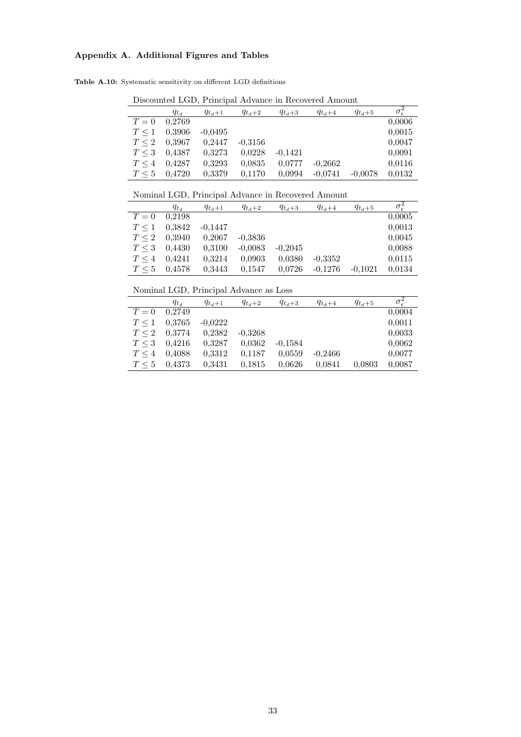# <span id="page-34-0"></span>Appendix A. Additional Figures and Tables

Table A.10: Systematic sensitivity on different LGD definitions

|            | Dhoodhood DOD, I Hiloipai Hawanoo in Hooo (oroa Thiloight |             |             |             |             |             |                                  |  |  |  |  |  |
|------------|-----------------------------------------------------------|-------------|-------------|-------------|-------------|-------------|----------------------------------|--|--|--|--|--|
|            | $q_{t_d}$                                                 | $q_{t_d+1}$ | $q_{t_d+2}$ | $q_{t_d+3}$ | $q_{t_d+4}$ | $q_{t_d+5}$ | $\overline{\sigma_{\epsilon}^2}$ |  |  |  |  |  |
| $T=0$      | 0.2769                                                    |             |             |             |             |             | 0,0006                           |  |  |  |  |  |
| $T \leq 1$ | 0,3906                                                    | $-0.0495$   |             |             |             |             | 0,0015                           |  |  |  |  |  |
| $T \leq 2$ | 0,3967                                                    | 0.2447      | $-0.3156$   |             |             |             | 0,0047                           |  |  |  |  |  |
| $T \leq 3$ | 0.4387                                                    | 0,3273      | 0,0228      | $-0.1421$   |             |             | 0.0091                           |  |  |  |  |  |
| $T \leq 4$ | 0.4287                                                    | 0,3293      | 0.0835      | 0,0777      | $-0.2662$   |             | 0.0116                           |  |  |  |  |  |
| $T \leq 5$ | 0.4720                                                    | 0,3379      | 0,1170      | 0.0994      | $-0.0741$   | $-0.0078$   | 0,0132                           |  |  |  |  |  |

Discounted LGD, Principal Advance in Recovered Amount

Nominal LGD, Principal Advance in Recovered Amount

| rommar BOD, r microwr ria and m recovation micromagne |           |             |             |             |             |             |            |  |  |  |  |
|-------------------------------------------------------|-----------|-------------|-------------|-------------|-------------|-------------|------------|--|--|--|--|
|                                                       | $q_{t_d}$ | $q_{t_d+1}$ | $q_{t_d+2}$ | $q_{t_d+3}$ | $q_{t_d+4}$ | $q_{t_d+5}$ | $\sigma^2$ |  |  |  |  |
| $T=0$                                                 | 0.2198    |             |             |             |             |             | 0,0005     |  |  |  |  |
| $T \leq 1$                                            | 0,3842    | $-0.1447$   |             |             |             |             | 0,0013     |  |  |  |  |
| $T \leq 2$                                            | 0.3940    | 0,2067      | $-0.3836$   |             |             |             | 0,0045     |  |  |  |  |
| $T \leq 3$                                            | 0.4430    | 0,3100      | $-0,0083$   | $-0.2045$   |             |             | 0,0088     |  |  |  |  |
| $T \leq 4$                                            | 0.4241    | 0,3214      | 0.0903      | 0.0380      | $-0.3352$   |             | 0.0115     |  |  |  |  |
| $T \leq 5$                                            | 0.4578    | 0,3443      | 0,1547      | 0.0726      | $-0.1276$   | $-0.1021$   | 0.0134     |  |  |  |  |

Nominal LGD, Principal Advance as Loss

|            | $q_{t_d}$ | $q_{t_d+1}$ | $q_{t_d+2}$ | $q_{t_d+3}$ | $q_{t_d+4}$ | $q_{t_d+5}$ | $\overline{\sigma}_{\epsilon}^2$ |
|------------|-----------|-------------|-------------|-------------|-------------|-------------|----------------------------------|
| $T=0$      | 0.2749    |             |             |             |             |             | 0,0004                           |
| $T \leq 1$ | 0.3765    | $-0,0222$   |             |             |             |             | 0,0011                           |
| $T \leq 2$ | 0,3774    | 0,2382      | $-0.3268$   |             |             |             | 0,0033                           |
| $T \leq 3$ | 0.4216    | 0.3287      | 0,0362      | $-0.1584$   |             |             | 0,0062                           |
| $T \leq 4$ | 0.4088    | 0,3312      | 0,1187      | 0.0559      | $-0.2466$   |             | 0.0077                           |
| $T \leq 5$ | 0.4373    | 0.3431      | 0.1815      | 0.0626      | 0.0841      | 0.0803      | 0,0087                           |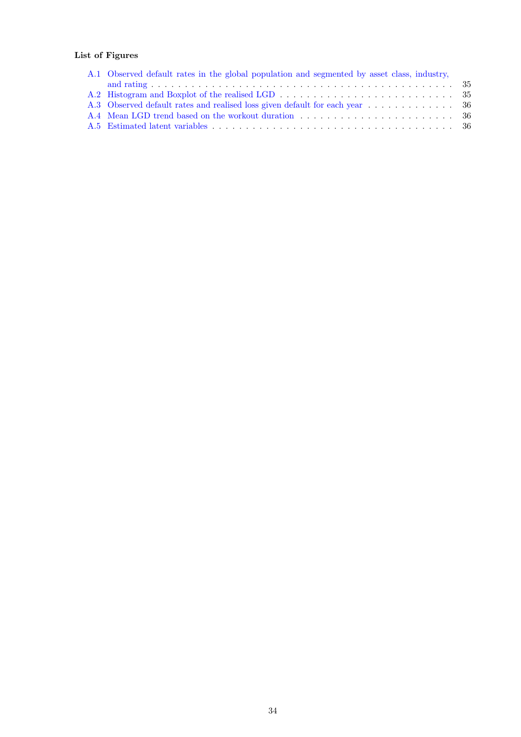# List of Figures

| A.1 Observed default rates in the global population and segmented by asset class, industry, |
|---------------------------------------------------------------------------------------------|
|                                                                                             |
|                                                                                             |
|                                                                                             |
|                                                                                             |
|                                                                                             |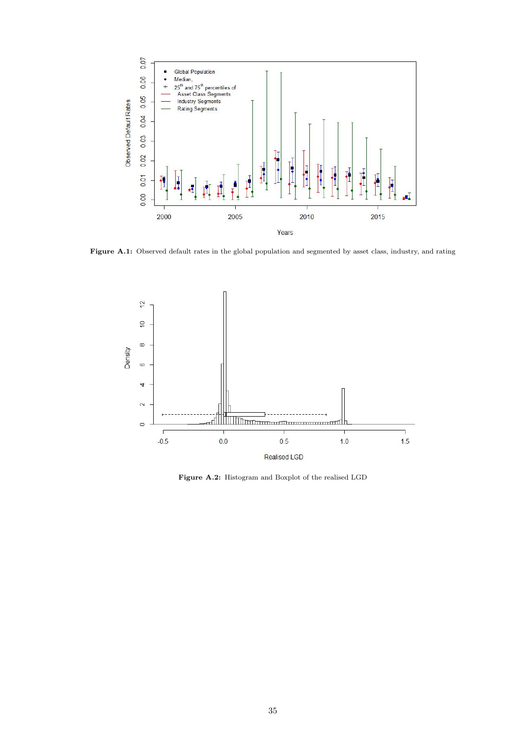<span id="page-36-0"></span>

<span id="page-36-1"></span>Figure A.1: Observed default rates in the global population and segmented by asset class, industry, and rating



Figure A.2: Histogram and Boxplot of the realised LGD